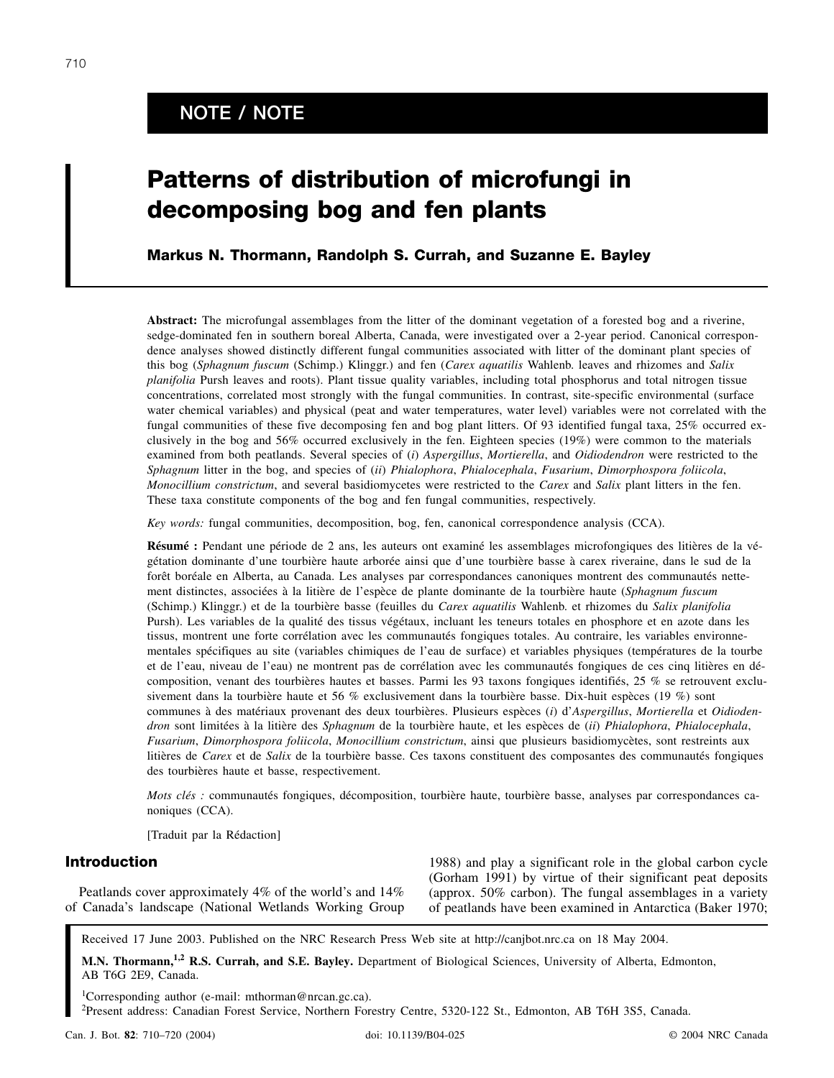# **NOTE / NOTE**

# **Patterns of distribution of microfungi in decomposing bog and fen plants**

# **Markus N. Thormann, Randolph S. Currah, and Suzanne E. Bayley**

**Abstract:** The microfungal assemblages from the litter of the dominant vegetation of a forested bog and a riverine, sedge-dominated fen in southern boreal Alberta, Canada, were investigated over a 2-year period. Canonical correspondence analyses showed distinctly different fungal communities associated with litter of the dominant plant species of this bog (*Sphagnum fuscum* (Schimp.) Klinggr.) and fen (*Carex aquatilis* Wahlenb. leaves and rhizomes and *Salix planifolia* Pursh leaves and roots). Plant tissue quality variables, including total phosphorus and total nitrogen tissue concentrations, correlated most strongly with the fungal communities. In contrast, site-specific environmental (surface water chemical variables) and physical (peat and water temperatures, water level) variables were not correlated with the fungal communities of these five decomposing fen and bog plant litters. Of 93 identified fungal taxa, 25% occurred exclusively in the bog and 56% occurred exclusively in the fen. Eighteen species (19%) were common to the materials examined from both peatlands. Several species of (*i*) *Aspergillus*, *Mortierella*, and *Oidiodendron* were restricted to the *Sphagnum* litter in the bog, and species of (*ii*) *Phialophora*, *Phialocephala*, *Fusarium*, *Dimorphospora foliicola*, *Monocillium constrictum*, and several basidiomycetes were restricted to the *Carex* and *Salix* plant litters in the fen. These taxa constitute components of the bog and fen fungal communities, respectively.

*Key words:* fungal communities, decomposition, bog, fen, canonical correspondence analysis (CCA).

**Résumé :** Pendant une période de 2 ans, les auteurs ont examiné les assemblages microfongiques des litières de la végétation dominante d'une tourbière haute arborée ainsi que d'une tourbière basse à carex riveraine, dans le sud de la forêt boréale en Alberta, au Canada. Les analyses par correspondances canoniques montrent des communautés nettement distinctes, associées à la litière de l'espèce de plante dominante de la tourbière haute (*Sphagnum fuscum* (Schimp.) Klinggr.) et de la tourbière basse (feuilles du *Carex aquatilis* Wahlenb. et rhizomes du *Salix planifolia* Pursh). Les variables de la qualité des tissus végétaux, incluant les teneurs totales en phosphore et en azote dans les tissus, montrent une forte corrélation avec les communautés fongiques totales. Au contraire, les variables environnementales spécifiques au site (variables chimiques de l'eau de surface) et variables physiques (températures de la tourbe et de l'eau, niveau de l'eau) ne montrent pas de corrélation avec les communautés fongiques de ces cinq litières en décomposition, venant des tourbières hautes et basses. Parmi les 93 taxons fongiques identifiés, 25 % se retrouvent exclusivement dans la tourbière haute et 56 % exclusivement dans la tourbière basse. Dix-huit espèces (19 %) sont communes à des matériaux provenant des deux tourbières. Plusieurs espèces (*i*) d'*Aspergillus*, *Mortierella* et *Oidiodendron* sont limitées à la litière des *Sphagnum* de la tourbière haute, et les espèces de (*ii*) *Phialophora*, *Phialocephala*, *Fusarium*, *Dimorphospora foliicola*, *Monocillium constrictum*, ainsi que plusieurs basidiomycètes, sont restreints aux litières de *Carex* et de *Salix* de la tourbière basse. Ces taxons constituent des composantes des communautés fongiques des tourbières haute et basse, respectivement.

*Mots clés :* communautés fongiques, décomposition, tourbière haute, tourbière basse, analyses par correspondances canoniques (CCA).

[Traduit par la Rédaction]

# **Introduction**

Peatlands cover approximately 4% of the world's and 14% of Canada's landscape (National Wetlands Working Group

1988) and play a significant role in the global carbon cycle (Gorham 1991) by virtue of their significant peat deposits (approx. 50% carbon). The fungal assemblages in a variety of peatlands have been examined in Antarctica (Baker 1970;

Received 17 June 2003. Published on the NRC Research Press Web site at http://canjbot.nrc.ca on 18 May 2004.

**M.N. Thormann,1,2 R.S. Currah, and S.E. Bayley.** Department of Biological Sciences, University of Alberta, Edmonton, AB T6G 2E9, Canada.

1 Corresponding author (e-mail: mthorman@nrcan.gc.ca).

2 Present address: Canadian Forest Service, Northern Forestry Centre, 5320-122 St., Edmonton, AB T6H 3S5, Canada.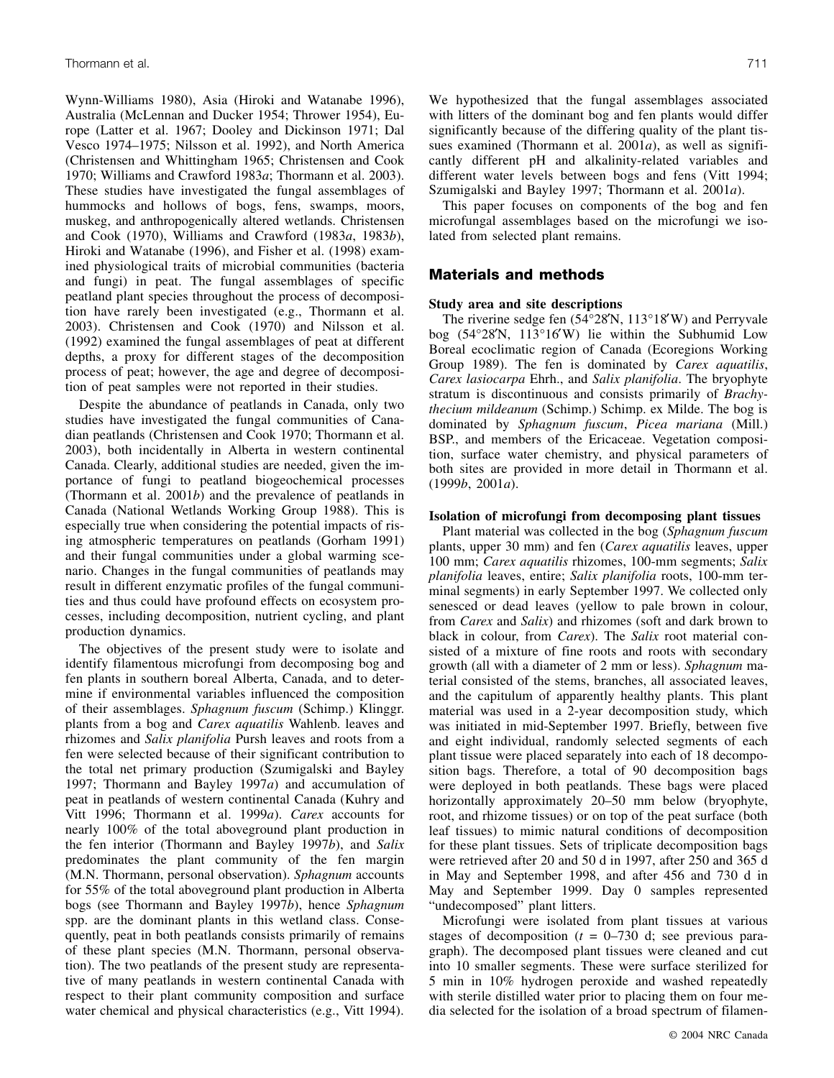Wynn-Williams 1980), Asia (Hiroki and Watanabe 1996), Australia (McLennan and Ducker 1954; Thrower 1954), Europe (Latter et al. 1967; Dooley and Dickinson 1971; Dal Vesco 1974–1975; Nilsson et al. 1992), and North America (Christensen and Whittingham 1965; Christensen and Cook 1970; Williams and Crawford 1983*a*; Thormann et al. 2003). These studies have investigated the fungal assemblages of hummocks and hollows of bogs, fens, swamps, moors, muskeg, and anthropogenically altered wetlands. Christensen and Cook (1970), Williams and Crawford (1983*a*, 1983*b*), Hiroki and Watanabe (1996), and Fisher et al. (1998) examined physiological traits of microbial communities (bacteria and fungi) in peat. The fungal assemblages of specific peatland plant species throughout the process of decomposition have rarely been investigated (e.g., Thormann et al. 2003). Christensen and Cook (1970) and Nilsson et al. (1992) examined the fungal assemblages of peat at different depths, a proxy for different stages of the decomposition process of peat; however, the age and degree of decomposition of peat samples were not reported in their studies.

Despite the abundance of peatlands in Canada, only two studies have investigated the fungal communities of Canadian peatlands (Christensen and Cook 1970; Thormann et al. 2003), both incidentally in Alberta in western continental Canada. Clearly, additional studies are needed, given the importance of fungi to peatland biogeochemical processes (Thormann et al. 2001*b*) and the prevalence of peatlands in Canada (National Wetlands Working Group 1988). This is especially true when considering the potential impacts of rising atmospheric temperatures on peatlands (Gorham 1991) and their fungal communities under a global warming scenario. Changes in the fungal communities of peatlands may result in different enzymatic profiles of the fungal communities and thus could have profound effects on ecosystem processes, including decomposition, nutrient cycling, and plant production dynamics.

The objectives of the present study were to isolate and identify filamentous microfungi from decomposing bog and fen plants in southern boreal Alberta, Canada, and to determine if environmental variables influenced the composition of their assemblages. *Sphagnum fuscum* (Schimp.) Klinggr. plants from a bog and *Carex aquatilis* Wahlenb. leaves and rhizomes and *Salix planifolia* Pursh leaves and roots from a fen were selected because of their significant contribution to the total net primary production (Szumigalski and Bayley 1997; Thormann and Bayley 1997*a*) and accumulation of peat in peatlands of western continental Canada (Kuhry and Vitt 1996; Thormann et al. 1999*a*). *Carex* accounts for nearly 100% of the total aboveground plant production in the fen interior (Thormann and Bayley 1997*b*), and *Salix* predominates the plant community of the fen margin (M.N. Thormann, personal observation). *Sphagnum* accounts for 55% of the total aboveground plant production in Alberta bogs (see Thormann and Bayley 1997*b*), hence *Sphagnum* spp. are the dominant plants in this wetland class. Consequently, peat in both peatlands consists primarily of remains of these plant species (M.N. Thormann, personal observation). The two peatlands of the present study are representative of many peatlands in western continental Canada with respect to their plant community composition and surface water chemical and physical characteristics (e.g., Vitt 1994). We hypothesized that the fungal assemblages associated with litters of the dominant bog and fen plants would differ significantly because of the differing quality of the plant tissues examined (Thormann et al. 2001*a*), as well as significantly different pH and alkalinity-related variables and different water levels between bogs and fens (Vitt 1994; Szumigalski and Bayley 1997; Thormann et al. 2001*a*).

This paper focuses on components of the bog and fen microfungal assemblages based on the microfungi we isolated from selected plant remains.

# **Materials and methods**

#### **Study area and site descriptions**

The riverine sedge fen (54°28′N, 113°18′W) and Perryvale bog (54°28′N, 113°16′W) lie within the Subhumid Low Boreal ecoclimatic region of Canada (Ecoregions Working Group 1989). The fen is dominated by *Carex aquatilis*, *Carex lasiocarpa* Ehrh., and *Salix planifolia*. The bryophyte stratum is discontinuous and consists primarily of *Brachythecium mildeanum* (Schimp.) Schimp. ex Milde. The bog is dominated by *Sphagnum fuscum*, *Picea mariana* (Mill.) BSP., and members of the Ericaceae. Vegetation composition, surface water chemistry, and physical parameters of both sites are provided in more detail in Thormann et al. (1999*b*, 2001*a*).

#### **Isolation of microfungi from decomposing plant tissues**

Plant material was collected in the bog (*Sphagnum fuscum* plants, upper 30 mm) and fen (*Carex aquatilis* leaves, upper 100 mm; *Carex aquatilis* rhizomes, 100-mm segments; *Salix planifolia* leaves, entire; *Salix planifolia* roots, 100-mm terminal segments) in early September 1997. We collected only senesced or dead leaves (yellow to pale brown in colour, from *Carex* and *Salix*) and rhizomes (soft and dark brown to black in colour, from *Carex*). The *Salix* root material consisted of a mixture of fine roots and roots with secondary growth (all with a diameter of 2 mm or less). *Sphagnum* material consisted of the stems, branches, all associated leaves, and the capitulum of apparently healthy plants. This plant material was used in a 2-year decomposition study, which was initiated in mid-September 1997. Briefly, between five and eight individual, randomly selected segments of each plant tissue were placed separately into each of 18 decomposition bags. Therefore, a total of 90 decomposition bags were deployed in both peatlands. These bags were placed horizontally approximately 20–50 mm below (bryophyte, root, and rhizome tissues) or on top of the peat surface (both leaf tissues) to mimic natural conditions of decomposition for these plant tissues. Sets of triplicate decomposition bags were retrieved after 20 and 50 d in 1997, after 250 and 365 d in May and September 1998, and after 456 and 730 d in May and September 1999. Day 0 samples represented "undecomposed" plant litters.

Microfungi were isolated from plant tissues at various stages of decomposition  $(t = 0-730 \text{ d})$ ; see previous paragraph). The decomposed plant tissues were cleaned and cut into 10 smaller segments. These were surface sterilized for 5 min in 10% hydrogen peroxide and washed repeatedly with sterile distilled water prior to placing them on four media selected for the isolation of a broad spectrum of filamen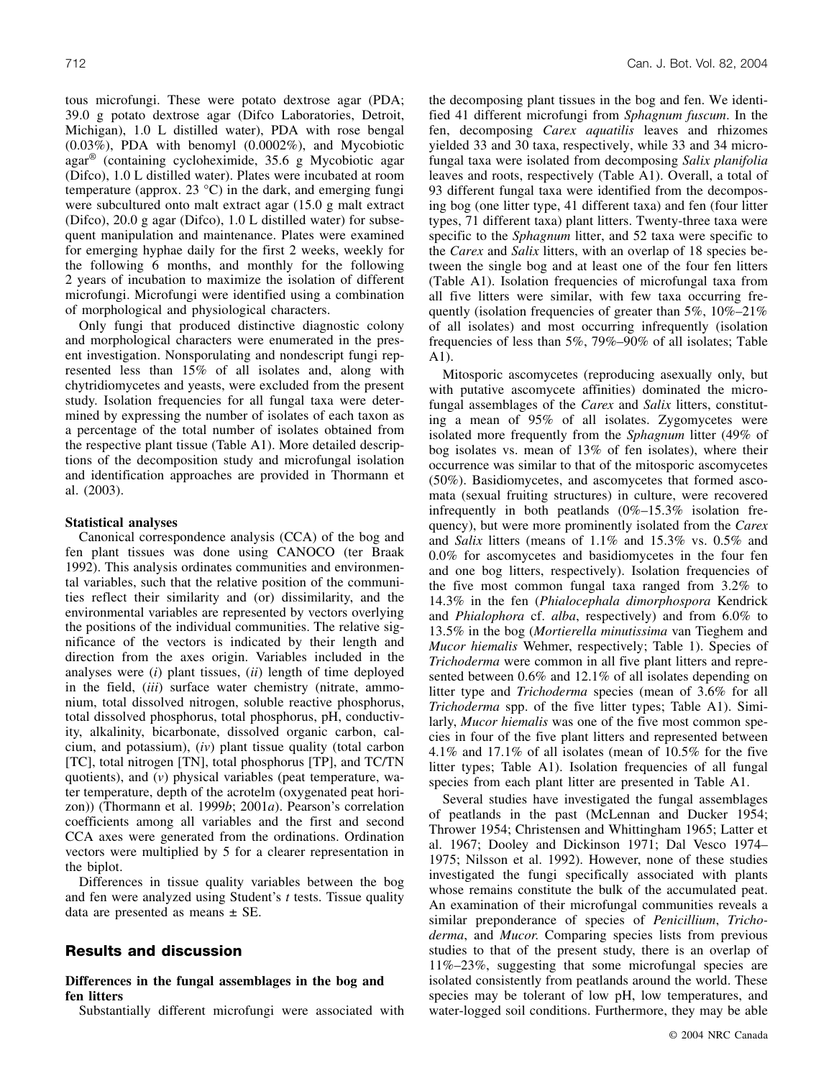tous microfungi. These were potato dextrose agar (PDA; 39.0 g potato dextrose agar (Difco Laboratories, Detroit, Michigan), 1.0 L distilled water), PDA with rose bengal (0.03%), PDA with benomyl (0.0002%), and Mycobiotic agar® (containing cycloheximide, 35.6 g Mycobiotic agar (Difco), 1.0 L distilled water). Plates were incubated at room temperature (approx. 23  $^{\circ}$ C) in the dark, and emerging fungi were subcultured onto malt extract agar (15.0 g malt extract (Difco), 20.0 g agar (Difco), 1.0 L distilled water) for subsequent manipulation and maintenance. Plates were examined for emerging hyphae daily for the first 2 weeks, weekly for the following 6 months, and monthly for the following 2 years of incubation to maximize the isolation of different microfungi. Microfungi were identified using a combination of morphological and physiological characters.

Only fungi that produced distinctive diagnostic colony and morphological characters were enumerated in the present investigation. Nonsporulating and nondescript fungi represented less than 15% of all isolates and, along with chytridiomycetes and yeasts, were excluded from the present study. Isolation frequencies for all fungal taxa were determined by expressing the number of isolates of each taxon as a percentage of the total number of isolates obtained from the respective plant tissue (Table A1). More detailed descriptions of the decomposition study and microfungal isolation and identification approaches are provided in Thormann et al. (2003).

#### **Statistical analyses**

Canonical correspondence analysis (CCA) of the bog and fen plant tissues was done using CANOCO (ter Braak 1992). This analysis ordinates communities and environmental variables, such that the relative position of the communities reflect their similarity and (or) dissimilarity, and the environmental variables are represented by vectors overlying the positions of the individual communities. The relative significance of the vectors is indicated by their length and direction from the axes origin. Variables included in the analyses were (*i*) plant tissues, (*ii*) length of time deployed in the field, (*iii*) surface water chemistry (nitrate, ammonium, total dissolved nitrogen, soluble reactive phosphorus, total dissolved phosphorus, total phosphorus, pH, conductivity, alkalinity, bicarbonate, dissolved organic carbon, calcium, and potassium), (*iv*) plant tissue quality (total carbon [TC], total nitrogen [TN], total phosphorus [TP], and TC/TN quotients), and (*v*) physical variables (peat temperature, water temperature, depth of the acrotelm (oxygenated peat horizon)) (Thormann et al. 1999*b*; 2001*a*). Pearson's correlation coefficients among all variables and the first and second CCA axes were generated from the ordinations. Ordination vectors were multiplied by 5 for a clearer representation in the biplot.

Differences in tissue quality variables between the bog and fen were analyzed using Student's *t* tests. Tissue quality data are presented as means  $\pm$  SE.

# **Results and discussion**

## **Differences in the fungal assemblages in the bog and fen litters**

Substantially different microfungi were associated with

the decomposing plant tissues in the bog and fen. We identified 41 different microfungi from *Sphagnum fuscum*. In the fen, decomposing *Carex aquatilis* leaves and rhizomes yielded 33 and 30 taxa, respectively, while 33 and 34 microfungal taxa were isolated from decomposing *Salix planifolia* leaves and roots, respectively (Table A1). Overall, a total of 93 different fungal taxa were identified from the decomposing bog (one litter type, 41 different taxa) and fen (four litter types, 71 different taxa) plant litters. Twenty-three taxa were specific to the *Sphagnum* litter, and 52 taxa were specific to the *Carex* and *Salix* litters, with an overlap of 18 species between the single bog and at least one of the four fen litters (Table A1). Isolation frequencies of microfungal taxa from all five litters were similar, with few taxa occurring frequently (isolation frequencies of greater than 5%, 10%–21% of all isolates) and most occurring infrequently (isolation frequencies of less than 5%, 79%–90% of all isolates; Table A1).

Mitosporic ascomycetes (reproducing asexually only, but with putative ascomycete affinities) dominated the microfungal assemblages of the *Carex* and *Salix* litters, constituting a mean of 95% of all isolates. Zygomycetes were isolated more frequently from the *Sphagnum* litter (49% of bog isolates vs. mean of 13% of fen isolates), where their occurrence was similar to that of the mitosporic ascomycetes (50%). Basidiomycetes, and ascomycetes that formed ascomata (sexual fruiting structures) in culture, were recovered infrequently in both peatlands  $(0\%-15.3\%)$  isolation frequency), but were more prominently isolated from the *Carex* and *Salix* litters (means of 1.1% and 15.3% vs. 0.5% and 0.0% for ascomycetes and basidiomycetes in the four fen and one bog litters, respectively). Isolation frequencies of the five most common fungal taxa ranged from 3.2% to 14.3% in the fen (*Phialocephala dimorphospora* Kendrick and *Phialophora* cf. *alba*, respectively) and from 6.0% to 13.5% in the bog (*Mortierella minutissima* van Tieghem and *Mucor hiemalis* Wehmer, respectively; Table 1). Species of *Trichoderma* were common in all five plant litters and represented between 0.6% and 12.1% of all isolates depending on litter type and *Trichoderma* species (mean of 3.6% for all *Trichoderma* spp. of the five litter types; Table A1). Similarly, *Mucor hiemalis* was one of the five most common species in four of the five plant litters and represented between 4.1% and 17.1% of all isolates (mean of 10.5% for the five litter types; Table A1). Isolation frequencies of all fungal species from each plant litter are presented in Table A1.

Several studies have investigated the fungal assemblages of peatlands in the past (McLennan and Ducker 1954; Thrower 1954; Christensen and Whittingham 1965; Latter et al. 1967; Dooley and Dickinson 1971; Dal Vesco 1974– 1975; Nilsson et al. 1992). However, none of these studies investigated the fungi specifically associated with plants whose remains constitute the bulk of the accumulated peat. An examination of their microfungal communities reveals a similar preponderance of species of *Penicillium*, *Trichoderma*, and *Mucor*. Comparing species lists from previous studies to that of the present study, there is an overlap of 11%–23%, suggesting that some microfungal species are isolated consistently from peatlands around the world. These species may be tolerant of low pH, low temperatures, and water-logged soil conditions. Furthermore, they may be able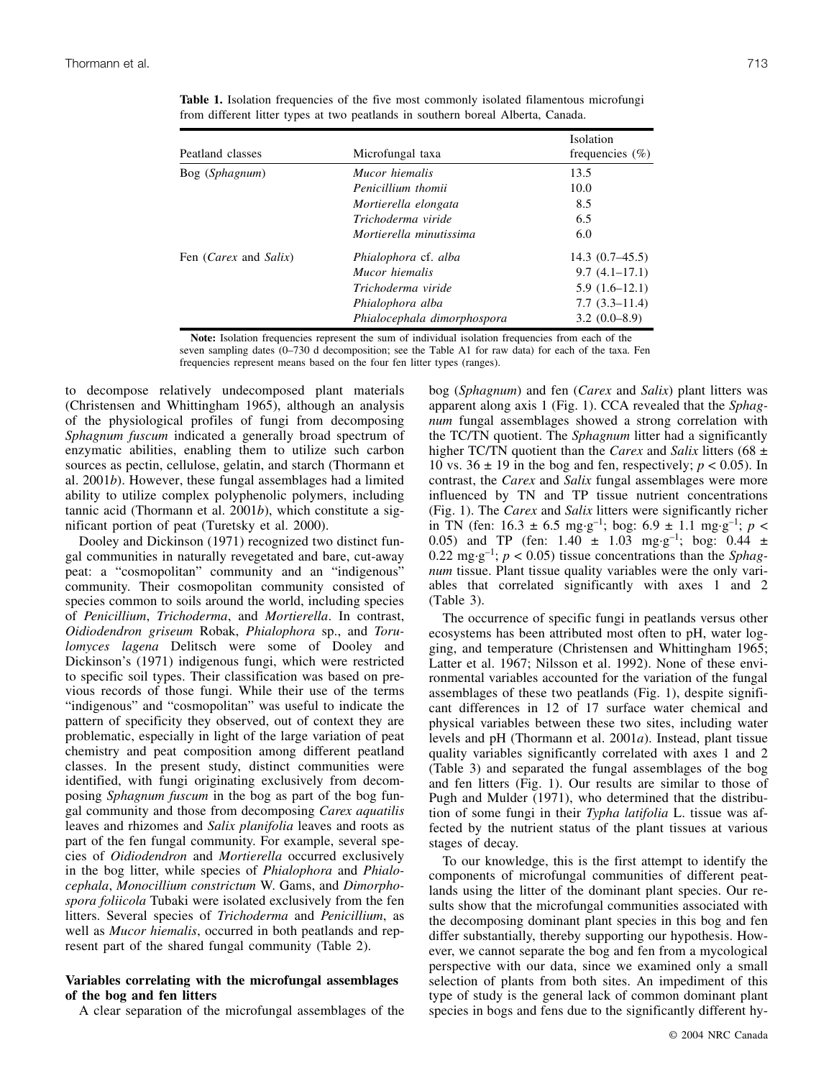| Peatland classes                      | Microfungal taxa            | Isolation<br>frequencies $(\% )$ |
|---------------------------------------|-----------------------------|----------------------------------|
| Bog (Sphagnum)                        | Mucor hiemalis              | 13.5                             |
|                                       | Penicillium thomii          | 10.0                             |
|                                       | Mortierella elongata        | 8.5                              |
|                                       | Trichoderma viride          | 6.5                              |
|                                       | Mortierella minutissima     | 6.0                              |
| Fen ( <i>Carex</i> and <i>Salix</i> ) | Phialophora cf. alba        | $14.3(0.7-45.5)$                 |
|                                       | Mucor hiemalis              | $9.7(4.1-17.1)$                  |
|                                       | Trichoderma viride          | $5.9(1.6-12.1)$                  |
|                                       | Phialophora alba            | $7.7(3.3-11.4)$                  |
|                                       | Phialocephala dimorphospora | $3.2(0.0-8.9)$                   |

**Table 1.** Isolation frequencies of the five most commonly isolated filamentous microfungi from different litter types at two peatlands in southern boreal Alberta, Canada.

Note: Isolation frequencies represent the sum of individual isolation frequencies from each of the

seven sampling dates (0–730 d decomposition; see the Table A1 for raw data) for each of the taxa. Fen

frequencies represent means based on the four fen litter types (ranges).

to decompose relatively undecomposed plant materials (Christensen and Whittingham 1965), although an analysis of the physiological profiles of fungi from decomposing *Sphagnum fuscum* indicated a generally broad spectrum of enzymatic abilities, enabling them to utilize such carbon sources as pectin, cellulose, gelatin, and starch (Thormann et al. 2001*b*). However, these fungal assemblages had a limited ability to utilize complex polyphenolic polymers, including tannic acid (Thormann et al. 2001*b*), which constitute a significant portion of peat (Turetsky et al. 2000).

Dooley and Dickinson (1971) recognized two distinct fungal communities in naturally revegetated and bare, cut-away peat: a "cosmopolitan" community and an "indigenous" community. Their cosmopolitan community consisted of species common to soils around the world, including species of *Penicillium*, *Trichoderma*, and *Mortierella*. In contrast, *Oidiodendron griseum* Robak, *Phialophora* sp., and *Torulomyces lagena* Delitsch were some of Dooley and Dickinson's (1971) indigenous fungi, which were restricted to specific soil types. Their classification was based on previous records of those fungi. While their use of the terms "indigenous" and "cosmopolitan" was useful to indicate the pattern of specificity they observed, out of context they are problematic, especially in light of the large variation of peat chemistry and peat composition among different peatland classes. In the present study, distinct communities were identified, with fungi originating exclusively from decomposing *Sphagnum fuscum* in the bog as part of the bog fungal community and those from decomposing *Carex aquatilis* leaves and rhizomes and *Salix planifolia* leaves and roots as part of the fen fungal community. For example, several species of *Oidiodendron* and *Mortierella* occurred exclusively in the bog litter, while species of *Phialophora* and *Phialocephala*, *Monocillium constrictum* W. Gams, and *Dimorphospora foliicola* Tubaki were isolated exclusively from the fen litters. Several species of *Trichoderma* and *Penicillium*, as well as *Mucor hiemalis*, occurred in both peatlands and represent part of the shared fungal community (Table 2).

#### **Variables correlating with the microfungal assemblages of the bog and fen litters**

A clear separation of the microfungal assemblages of the

bog (*Sphagnum*) and fen (*Carex* and *Salix*) plant litters was apparent along axis 1 (Fig. 1). CCA revealed that the *Sphagnum* fungal assemblages showed a strong correlation with the TC/TN quotient. The *Sphagnum* litter had a significantly higher TC/TN quotient than the *Carex* and *Salix* litters (68 ± 10 vs.  $36 \pm 19$  in the bog and fen, respectively;  $p < 0.05$ ). In contrast, the *Carex* and *Salix* fungal assemblages were more influenced by TN and TP tissue nutrient concentrations (Fig. 1). The *Carex* and *Salix* litters were significantly richer in TN (fen:  $16.3 \pm 6.5$  mg·g<sup>-1</sup>; bog:  $6.9 \pm 1.1$  mg·g<sup>-1</sup>;  $p <$ 0.05) and TP (fen:  $1.40 \pm 1.03$  mg·g<sup>-1</sup>; bog:  $0.44 \pm 1.03$ 0.22 mg·g<sup>-1</sup>;  $p < 0.05$ ) tissue concentrations than the *Sphagnum* tissue. Plant tissue quality variables were the only variables that correlated significantly with axes 1 and 2 (Table 3).

The occurrence of specific fungi in peatlands versus other ecosystems has been attributed most often to pH, water logging, and temperature (Christensen and Whittingham 1965; Latter et al. 1967; Nilsson et al. 1992). None of these environmental variables accounted for the variation of the fungal assemblages of these two peatlands (Fig. 1), despite significant differences in 12 of 17 surface water chemical and physical variables between these two sites, including water levels and pH (Thormann et al. 2001*a*). Instead, plant tissue quality variables significantly correlated with axes 1 and 2 (Table 3) and separated the fungal assemblages of the bog and fen litters (Fig. 1). Our results are similar to those of Pugh and Mulder (1971), who determined that the distribution of some fungi in their *Typha latifolia* L. tissue was affected by the nutrient status of the plant tissues at various stages of decay.

To our knowledge, this is the first attempt to identify the components of microfungal communities of different peatlands using the litter of the dominant plant species. Our results show that the microfungal communities associated with the decomposing dominant plant species in this bog and fen differ substantially, thereby supporting our hypothesis. However, we cannot separate the bog and fen from a mycological perspective with our data, since we examined only a small selection of plants from both sites. An impediment of this type of study is the general lack of common dominant plant species in bogs and fens due to the significantly different hy-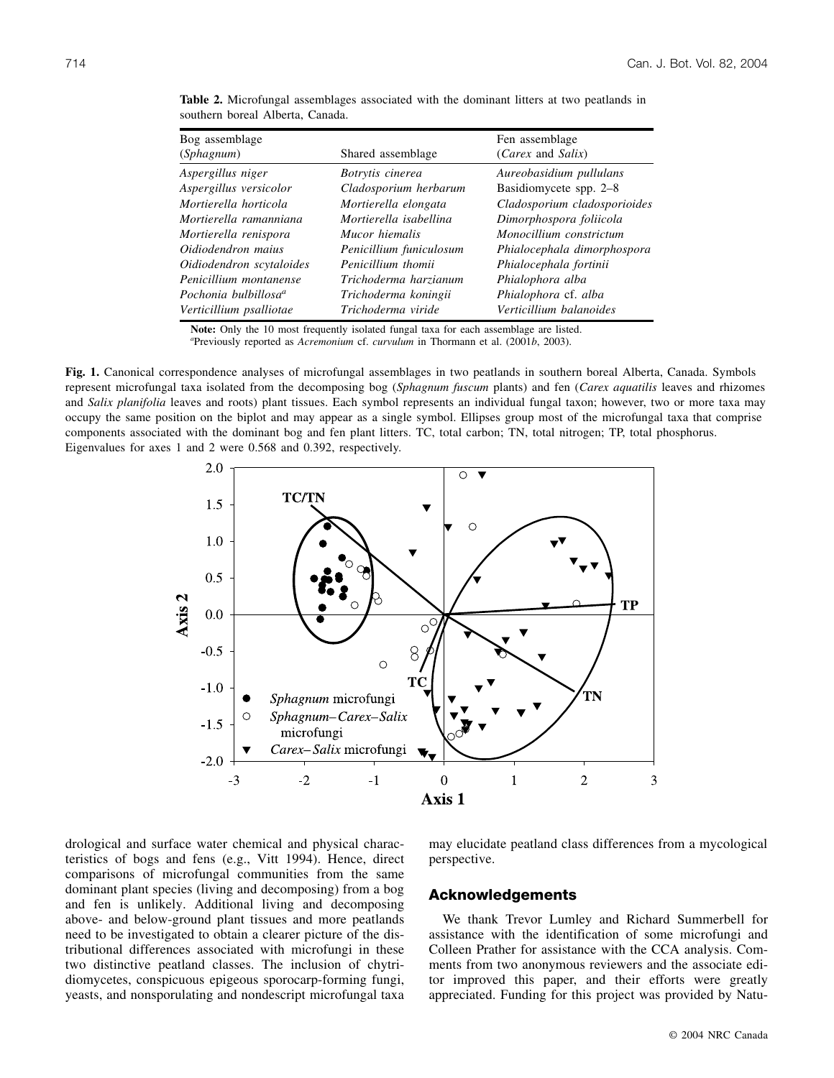| Bog assemblage                   |                         | Fen assemblage               |
|----------------------------------|-------------------------|------------------------------|
| <i>(Sphagnum)</i>                | Shared assemblage       | (Carex and Salix)            |
| Aspergillus niger                | Botrytis cinerea        | Aureobasidium pullulans      |
| Aspergillus versicolor           | Cladosporium herbarum   | Basidiomycete spp. 2-8       |
| Mortierella horticola            | Mortierella elongata    | Cladosporium cladosporioides |
| Mortierella ramanniana           | Mortierella isabellina  | Dimorphospora foliicola      |
| Mortierella renispora            | Mucor hiemalis          | Monocillium constrictum      |
| Oidiodendron maius               | Penicillium funiculosum | Phialocephala dimorphospora  |
| Oidiodendron scytaloides         | Penicillium thomii      | Phialocephala fortinii       |
| Penicillium montanense           | Trichoderma harzianum   | Phialophora alba             |
| Pochonia bulbillosa <sup>a</sup> | Trichoderma koningii    | Phialophora cf. alba         |
| Verticillium psalliotae          | Trichoderma viride      | Verticillium balanoides      |

**Table 2.** Microfungal assemblages associated with the dominant litters at two peatlands in southern boreal Alberta, Canada.

**Note:** Only the 10 most frequently isolated fungal taxa for each assemblage are listed. *<sup>a</sup>* Previously reported as *Acremonium* cf. *curvulum* in Thormann et al. (2001*b*, 2003).

**Fig. 1.** Canonical correspondence analyses of microfungal assemblages in two peatlands in southern boreal Alberta, Canada. Symbols represent microfungal taxa isolated from the decomposing bog (*Sphagnum fuscum* plants) and fen (*Carex aquatilis* leaves and rhizomes and *Salix planifolia* leaves and roots) plant tissues. Each symbol represents an individual fungal taxon; however, two or more taxa may occupy the same position on the biplot and may appear as a single symbol. Ellipses group most of the microfungal taxa that comprise



drological and surface water chemical and physical characteristics of bogs and fens (e.g., Vitt 1994). Hence, direct comparisons of microfungal communities from the same dominant plant species (living and decomposing) from a bog and fen is unlikely. Additional living and decomposing above- and below-ground plant tissues and more peatlands need to be investigated to obtain a clearer picture of the distributional differences associated with microfungi in these two distinctive peatland classes. The inclusion of chytridiomycetes, conspicuous epigeous sporocarp-forming fungi, yeasts, and nonsporulating and nondescript microfungal taxa may elucidate peatland class differences from a mycological perspective.

## **Acknowledgements**

We thank Trevor Lumley and Richard Summerbell for assistance with the identification of some microfungi and Colleen Prather for assistance with the CCA analysis. Comments from two anonymous reviewers and the associate editor improved this paper, and their efforts were greatly appreciated. Funding for this project was provided by Natu-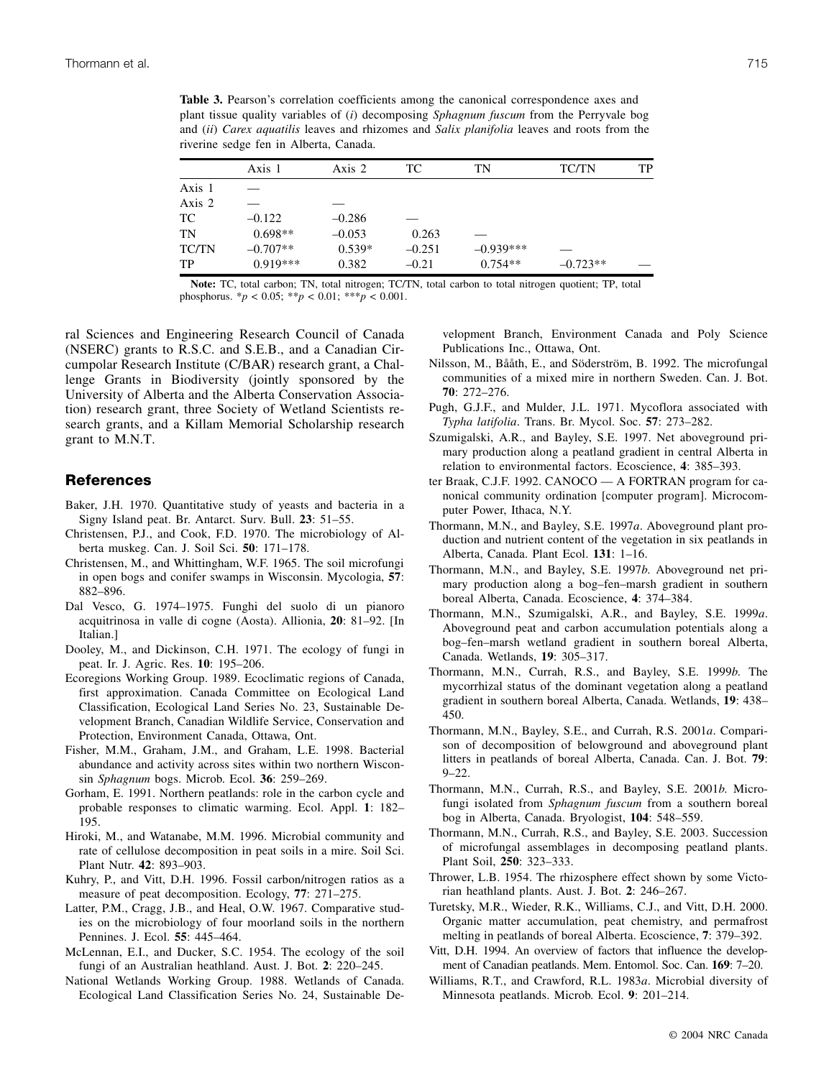**Table 3.** Pearson's correlation coefficients among the canonical correspondence axes and plant tissue quality variables of (*i*) decomposing *Sphagnum fuscum* from the Perryvale bog and (*ii*) *Carex aquatilis* leaves and rhizomes and *Salix planifolia* leaves and roots from the riverine sedge fen in Alberta, Canada.

|        | Axis 1     | Axis 2   | TС       | TN          | <b>TC/TN</b> | TP |
|--------|------------|----------|----------|-------------|--------------|----|
| Axis 1 |            |          |          |             |              |    |
| Axis 2 |            |          |          |             |              |    |
| TC     | $-0.122$   | $-0.286$ |          |             |              |    |
| TN     | $0.698**$  | $-0.053$ | 0.263    |             |              |    |
| TC/TN  | $-0.707**$ | $0.539*$ | $-0.251$ | $-0.939***$ |              |    |
| TP     | $0.919***$ | 0.382    | $-0.21$  | $0.754**$   | $-0.723**$   |    |

**Note:** TC, total carbon; TN, total nitrogen; TC/TN, total carbon to total nitrogen quotient; TP, total phosphorus. \**p* < 0.05; \*\**p* < 0.01; \*\*\**p* < 0.001.

ral Sciences and Engineering Research Council of Canada (NSERC) grants to R.S.C. and S.E.B., and a Canadian Circumpolar Research Institute (C/BAR) research grant, a Challenge Grants in Biodiversity (jointly sponsored by the University of Alberta and the Alberta Conservation Association) research grant, three Society of Wetland Scientists research grants, and a Killam Memorial Scholarship research grant to M.N.T.

## **References**

- Baker, J.H. 1970. Quantitative study of yeasts and bacteria in a Signy Island peat. Br. Antarct. Surv. Bull. **23**: 51–55.
- Christensen, P.J., and Cook, F.D. 1970. The microbiology of Alberta muskeg. Can. J. Soil Sci. **50**: 171–178.
- Christensen, M., and Whittingham, W.F. 1965. The soil microfungi in open bogs and conifer swamps in Wisconsin. Mycologia, **57**: 882–896.
- Dal Vesco, G. 1974–1975. Funghi del suolo di un pianoro acquitrinosa in valle di cogne (Aosta). Allionia, **20**: 81–92. [In Italian.]
- Dooley, M., and Dickinson, C.H. 1971. The ecology of fungi in peat. Ir. J. Agric. Res. **10**: 195–206.
- Ecoregions Working Group. 1989. Ecoclimatic regions of Canada, first approximation. Canada Committee on Ecological Land Classification, Ecological Land Series No. 23, Sustainable Development Branch, Canadian Wildlife Service, Conservation and Protection, Environment Canada, Ottawa, Ont.
- Fisher, M.M., Graham, J.M., and Graham, L.E. 1998. Bacterial abundance and activity across sites within two northern Wisconsin *Sphagnum* bogs. Microb. Ecol. **36**: 259–269.
- Gorham, E. 1991. Northern peatlands: role in the carbon cycle and probable responses to climatic warming. Ecol. Appl. **1**: 182– 195.
- Hiroki, M., and Watanabe, M.M. 1996. Microbial community and rate of cellulose decomposition in peat soils in a mire. Soil Sci. Plant Nutr. **42**: 893–903.
- Kuhry, P., and Vitt, D.H. 1996. Fossil carbon/nitrogen ratios as a measure of peat decomposition. Ecology, **77**: 271–275.
- Latter, P.M., Cragg, J.B., and Heal, O.W. 1967. Comparative studies on the microbiology of four moorland soils in the northern Pennines. J. Ecol. **55**: 445–464.
- McLennan, E.I., and Ducker, S.C. 1954. The ecology of the soil fungi of an Australian heathland. Aust. J. Bot. **2**: 220–245.
- National Wetlands Working Group. 1988. Wetlands of Canada. Ecological Land Classification Series No. 24, Sustainable De-

velopment Branch, Environment Canada and Poly Science Publications Inc., Ottawa, Ont.

- Nilsson, M., Bååth, E., and Söderström, B. 1992. The microfungal communities of a mixed mire in northern Sweden. Can. J. Bot. **70**: 272–276.
- Pugh, G.J.F., and Mulder, J.L. 1971. Mycoflora associated with *Typha latifolia*. Trans. Br. Mycol. Soc. **57**: 273–282.
- Szumigalski, A.R., and Bayley, S.E. 1997. Net aboveground primary production along a peatland gradient in central Alberta in relation to environmental factors. Ecoscience, **4**: 385–393.
- ter Braak, C.J.F. 1992. CANOCO A FORTRAN program for canonical community ordination [computer program]. Microcomputer Power, Ithaca, N.Y.
- Thormann, M.N., and Bayley, S.E. 1997*a*. Aboveground plant production and nutrient content of the vegetation in six peatlands in Alberta, Canada. Plant Ecol. **131**: 1–16.
- Thormann, M.N., and Bayley, S.E. 1997*b*. Aboveground net primary production along a bog–fen–marsh gradient in southern boreal Alberta, Canada. Ecoscience, **4**: 374–384.
- Thormann, M.N., Szumigalski, A.R., and Bayley, S.E. 1999*a*. Aboveground peat and carbon accumulation potentials along a bog–fen–marsh wetland gradient in southern boreal Alberta, Canada. Wetlands, **19**: 305–317.
- Thormann, M.N., Currah, R.S., and Bayley, S.E. 1999*b*. The mycorrhizal status of the dominant vegetation along a peatland gradient in southern boreal Alberta, Canada. Wetlands, **19**: 438– 450.
- Thormann, M.N., Bayley, S.E., and Currah, R.S. 2001*a*. Comparison of decomposition of belowground and aboveground plant litters in peatlands of boreal Alberta, Canada. Can. J. Bot. **79**:  $9 - 22.$
- Thormann, M.N., Currah, R.S., and Bayley, S.E. 2001*b*. Microfungi isolated from *Sphagnum fuscum* from a southern boreal bog in Alberta, Canada. Bryologist, **104**: 548–559.
- Thormann, M.N., Currah, R.S., and Bayley, S.E. 2003. Succession of microfungal assemblages in decomposing peatland plants. Plant Soil, **250**: 323–333.
- Thrower, L.B. 1954. The rhizosphere effect shown by some Victorian heathland plants. Aust. J. Bot. **2**: 246–267.
- Turetsky, M.R., Wieder, R.K., Williams, C.J., and Vitt, D.H. 2000. Organic matter accumulation, peat chemistry, and permafrost melting in peatlands of boreal Alberta. Ecoscience, **7**: 379–392.
- Vitt, D.H. 1994. An overview of factors that influence the development of Canadian peatlands. Mem. Entomol. Soc. Can. **169**: 7–20.
- Williams, R.T., and Crawford, R.L. 1983*a*. Microbial diversity of Minnesota peatlands. Microb. Ecol. **9**: 201–214.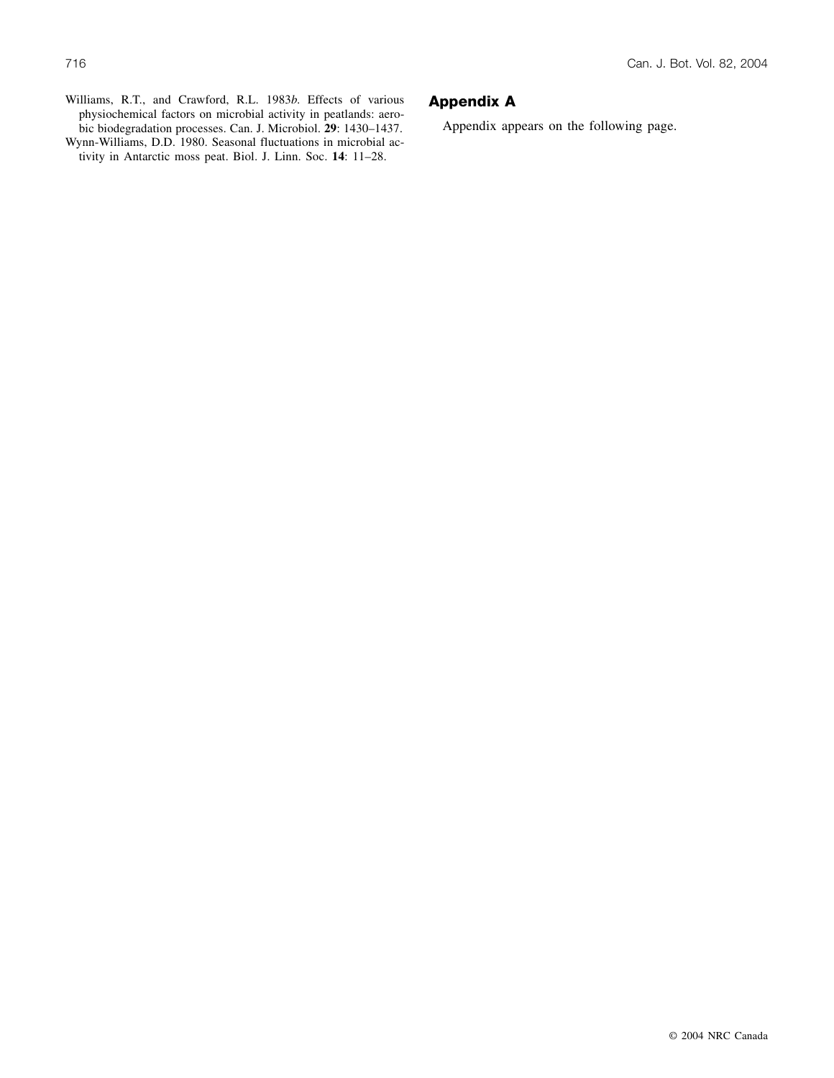Williams, R.T., and Crawford, R.L. 1983*b*. Effects of various physiochemical factors on microbial activity in peatlands: aerobic biodegradation processes. Can. J. Microbiol. **29**: 1430–1437.

Wynn-Williams, D.D. 1980. Seasonal fluctuations in microbial activity in Antarctic moss peat. Biol. J. Linn. Soc. **14**: 11–28.

# **Appendix A**

Appendix appears on the following page.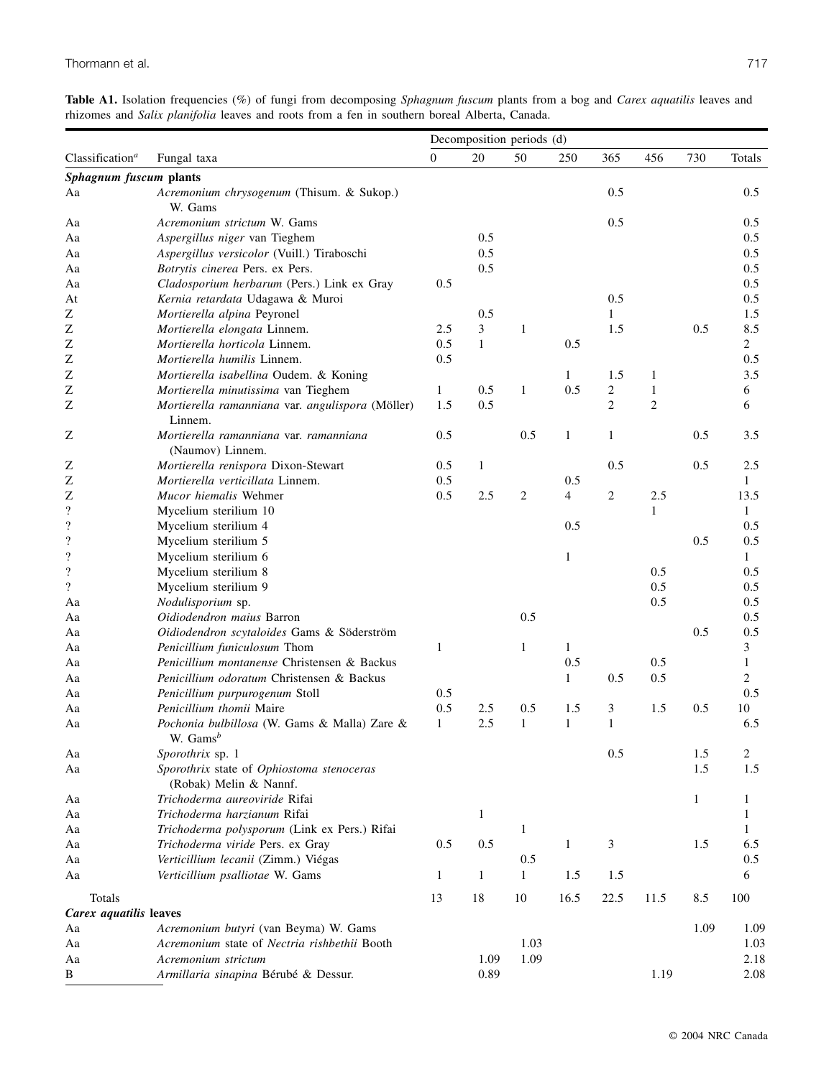|  |  |                                                                                               |  | Table A1. Isolation frequencies (%) of fungi from decomposing Sphagnum fuscum plants from a bog and Carex aquatilis leaves and |
|--|--|-----------------------------------------------------------------------------------------------|--|--------------------------------------------------------------------------------------------------------------------------------|
|  |  | rhizomes and Salix planifolia leaves and roots from a fen in southern boreal Alberta, Canada. |  |                                                                                                                                |

|                             |                                                                     | Decomposition periods (d) |              |                |                |                |                |      |                |
|-----------------------------|---------------------------------------------------------------------|---------------------------|--------------|----------------|----------------|----------------|----------------|------|----------------|
| Classification <sup>a</sup> | Fungal taxa                                                         | $\boldsymbol{0}$          | 20           | 50             | 250            | 365            | 456            | 730  | Totals         |
| Sphagnum fuscum plants      |                                                                     |                           |              |                |                |                |                |      |                |
| Aa                          | Acremonium chrysogenum (Thisum. & Sukop.)<br>W. Gams                |                           |              |                |                | 0.5            |                |      | 0.5            |
| Aa                          | Acremonium strictum W. Gams                                         |                           |              |                |                | 0.5            |                |      | 0.5            |
| Aa                          | Aspergillus niger van Tieghem                                       |                           | 0.5          |                |                |                |                |      | 0.5            |
| Aa                          | Aspergillus versicolor (Vuill.) Tiraboschi                          |                           | 0.5          |                |                |                |                |      | 0.5            |
| Aa                          | Botrytis cinerea Pers. ex Pers.                                     |                           | 0.5          |                |                |                |                |      | 0.5            |
| Aa                          | Cladosporium herbarum (Pers.) Link ex Gray                          | 0.5                       |              |                |                |                |                |      | 0.5            |
| At                          | Kernia retardata Udagawa & Muroi                                    |                           |              |                |                | 0.5            |                |      | 0.5            |
| Ζ                           | Mortierella alpina Peyronel                                         |                           | 0.5          |                |                | 1              |                |      | 1.5            |
| Z                           | Mortierella elongata Linnem.                                        | 2.5                       | 3            | $\mathbf{1}$   |                | 1.5            |                | 0.5  | 8.5            |
| Z                           | Mortierella horticola Linnem.                                       | 0.5                       | $\mathbf{1}$ |                | 0.5            |                |                |      | $\overline{2}$ |
| Z                           | Mortierella humilis Linnem.                                         | 0.5                       |              |                |                |                |                |      | 0.5            |
| Z                           | Mortierella isabellina Oudem. & Koning                              |                           |              |                | 1              | 1.5            | 1              |      | 3.5            |
| Z                           | Mortierella minutissima van Tieghem                                 | 1                         | 0.5          | $\mathbf{1}$   | 0.5            | 2              | 1              |      | 6              |
| Z                           | Mortierella ramanniana var. angulispora (Möller)                    | 1.5                       | 0.5          |                |                | $\overline{c}$ | $\mathfrak{2}$ |      | 6              |
|                             | Linnem.                                                             |                           |              |                |                |                |                |      |                |
| Ζ                           | Mortierella ramanniana var. ramanniana<br>(Naumov) Linnem.          | 0.5                       |              | 0.5            | 1              | 1              |                | 0.5  | 3.5            |
| Ζ                           | Mortierella renispora Dixon-Stewart                                 | 0.5                       | $\mathbf{1}$ |                |                | 0.5            |                | 0.5  | 2.5            |
| Z                           | Mortierella verticillata Linnem.                                    | 0.5                       |              |                | 0.5            |                |                |      | 1              |
| Z                           | Mucor hiemalis Wehmer                                               | 0.5                       | 2.5          | $\overline{2}$ | $\overline{4}$ | $\overline{c}$ | 2.5            |      | 13.5           |
| $\overline{\cdot}$          | Mycelium sterilium 10                                               |                           |              |                |                |                | $\mathbf{1}$   |      | 1              |
| $\overline{\mathcal{L}}$    | Mycelium sterilium 4                                                |                           |              |                | 0.5            |                |                |      | 0.5            |
| $\boldsymbol{?}$            | Mycelium sterilium 5                                                |                           |              |                |                |                |                | 0.5  | 0.5            |
| $\boldsymbol{?}$            | Mycelium sterilium 6                                                |                           |              |                | $\mathbf{1}$   |                |                |      | $\mathbf{1}$   |
| $\boldsymbol{?}$            | Mycelium sterilium 8                                                |                           |              |                |                |                | 0.5            |      | 0.5            |
| $\overline{\mathcal{L}}$    | Mycelium sterilium 9                                                |                           |              |                |                |                | 0.5            |      | 0.5            |
| Aa                          | Nodulisporium sp.                                                   |                           |              |                |                |                | 0.5            |      | 0.5            |
| Aa                          | Oidiodendron maius Barron                                           |                           |              | 0.5            |                |                |                |      | 0.5            |
| Aa                          | Oidiodendron scytaloides Gams & Söderström                          |                           |              |                |                |                |                | 0.5  | 0.5            |
| Aa                          | Penicillium funiculosum Thom                                        | 1                         |              | $\mathbf{1}$   | $\mathbf{1}$   |                |                |      | 3              |
| Aa                          | Penicillium montanense Christensen & Backus                         |                           |              |                | 0.5            |                | 0.5            |      | $\mathbf{1}$   |
| Aa                          | Penicillium odoratum Christensen & Backus                           |                           |              |                | $\mathbf{1}$   | 0.5            | 0.5            |      | $\overline{c}$ |
| Aa                          | Penicillium purpurogenum Stoll                                      | 0.5                       |              |                |                |                |                |      | 0.5            |
| Aa                          | Penicillium thomii Maire                                            | 0.5                       | 2.5          | 0.5            | 1.5            | 3              | 1.5            | 0.5  | 10             |
| Aa                          | Pochonia bulbillosa (W. Gams & Malla) Zare &<br>W. Gams $b$         | 1                         | 2.5          | $\mathbf{1}$   | $\mathbf{1}$   | $\mathbf{1}$   |                |      | 6.5            |
| Aa                          | Sporothrix sp. 1                                                    |                           |              |                |                | 0.5            |                | 1.5  | 2              |
| Aa                          | Sporothrix state of Ophiostoma stenoceras<br>(Robak) Melin & Nannf. |                           |              |                |                |                |                | 1.5  | 1.5            |
| Aa                          | Trichoderma aureoviride Rifai                                       |                           |              |                |                |                |                | 1    | $\mathbf{1}$   |
| Aa                          | Trichoderma harzianum Rifai                                         |                           | $\mathbf{1}$ |                |                |                |                |      | 1              |
| Aa                          | Trichoderma polysporum (Link ex Pers.) Rifai                        |                           |              | $\mathbf{1}$   |                |                |                |      | $\mathbf{1}$   |
| Aа                          | Trichoderma viride Pers. ex Gray                                    | 0.5                       | 0.5          |                | $\mathbf{1}$   | 3              |                | 1.5  | 6.5            |
| Aa                          | Verticillium lecanii (Zimm.) Viégas                                 |                           |              | 0.5            |                |                |                |      | 0.5            |
| Aa                          | Verticillium psalliotae W. Gams                                     | 1                         | $\mathbf{1}$ | $\mathbf{1}$   | 1.5            | 1.5            |                |      | 6              |
| Totals                      |                                                                     | 13                        | $18\,$       | 10             | 16.5           | 22.5           | 11.5           | 8.5  | 100            |
| Carex aquatilis leaves      |                                                                     |                           |              |                |                |                |                |      |                |
| Aa                          | Acremonium butyri (van Beyma) W. Gams                               |                           |              |                |                |                |                | 1.09 | 1.09           |
| Aa                          | Acremonium state of Nectria rishbethii Booth                        |                           |              | 1.03           |                |                |                |      | 1.03           |
| Aa                          | Acremonium strictum                                                 |                           | 1.09         | 1.09           |                |                |                |      | 2.18           |
| B                           | Armillaria sinapina Bérubé & Dessur.                                |                           | 0.89         |                |                |                | 1.19           |      | 2.08           |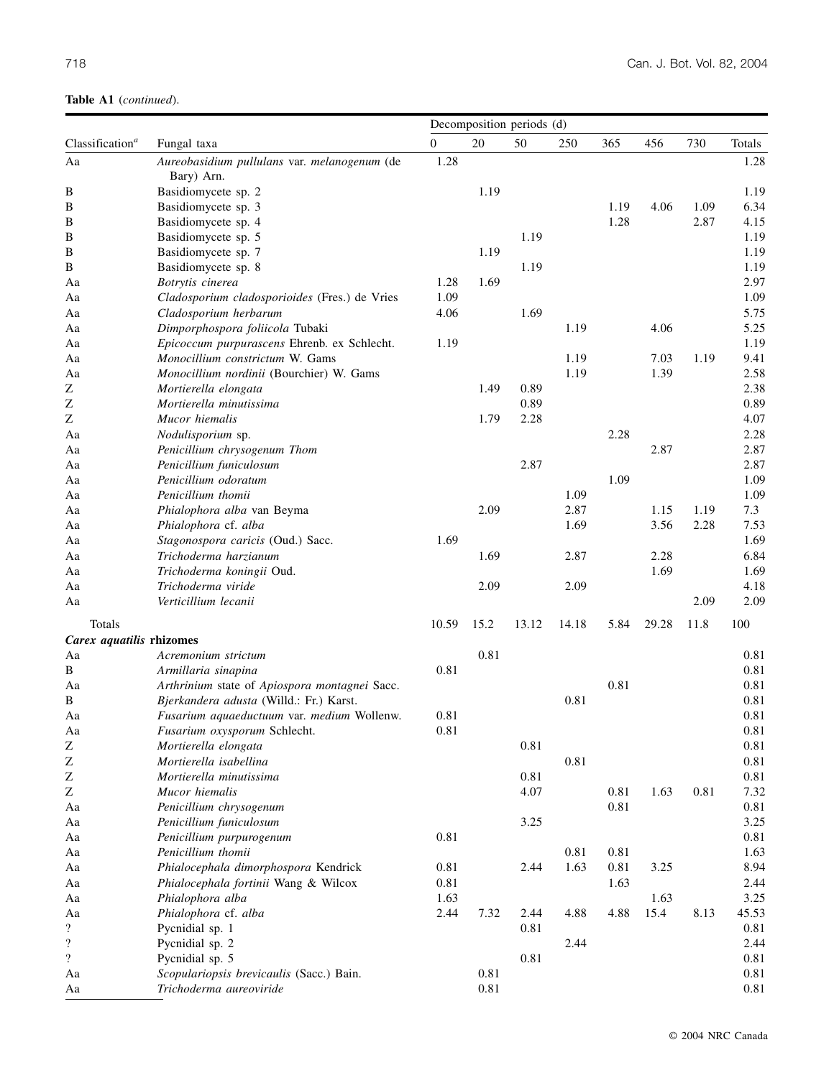| $\overline{0}$<br>20<br>365<br>730<br>Totals<br>Classification <sup>a</sup><br>50<br>250<br>456<br>Fungal taxa<br>1.28<br>1.28<br>Aa<br>Aureobasidium pullulans var. melanogenum (de<br>Bary) Arn.<br>1.19<br>Basidiomycete sp. 2<br>1.19<br>В<br>6.34<br>Basidiomycete sp. 3<br>1.19<br>4.06<br>1.09<br>B<br>1.28<br>2.87<br>B<br>Basidiomycete sp. 4<br>4.15<br>1.19<br>B<br>Basidiomycete sp. 5<br>1.19<br>1.19<br>B<br>Basidiomycete sp. 7<br>1.19<br>B<br>1.19<br>Basidiomycete sp. 8<br>1.19<br>1.69<br>2.97<br>Botrytis cinerea<br>Aa<br>1.28<br>1.09<br>1.09<br>Cladosporium cladosporioides (Fres.) de Vries<br>Aa<br>1.69<br>5.75<br>Cladosporium herbarum<br>4.06<br>Aa<br>4.06<br>5.25<br>Dimporphospora foliicola Tubaki<br>1.19<br>Aa<br>1.19<br>Epicoccum purpurascens Ehrenb. ex Schlecht.<br>1.19<br>Aa<br>Monocillium constrictum W. Gams<br>1.19<br>7.03<br>1.19<br>9.41<br>Aa<br>1.19<br>1.39<br>2.58<br>Monocillium nordinii (Bourchier) W. Gams<br>Aa<br>2.38<br>Z<br>Mortierella elongata<br>1.49<br>0.89<br>0.89<br>Z<br>Mortierella minutissima<br>0.89<br>Z<br>4.07<br>Mucor hiemalis<br>1.79<br>2.28<br>2.28<br>2.28<br>Aa<br>Nodulisporium sp.<br>2.87<br>Penicillium chrysogenum Thom<br>2.87<br>Aa<br>2.87<br>2.87<br>Penicillium funiculosum<br>Aa<br>1.09<br>1.09<br>Penicillium odoratum<br>Aa<br>1.09<br>Penicillium thomii<br>1.09<br>Aa<br>2.87<br>7.3<br>Phialophora alba van Beyma<br>2.09<br>1.15<br>1.19<br>Aa<br>1.69<br>3.56<br>2.28<br>7.53<br>Phialophora cf. alba<br>Aa<br>1.69<br>Stagonospora caricis (Oud.) Sacc.<br>1.69<br>Aa<br>6.84<br>Trichoderma harzianum<br>1.69<br>2.87<br>2.28<br>Aa<br>Trichoderma koningii Oud.<br>1.69<br>1.69<br>Aa<br>2.09<br>2.09<br>4.18<br>Trichoderma viride<br>Aa<br>2.09<br>Verticillium lecanii<br>2.09<br>Aa<br>Totals<br>10.59<br>15.2<br>13.12<br>14.18<br>5.84<br>29.28<br>11.8<br>100<br>Carex aquatilis rhizomes<br>0.81<br>Acremonium strictum<br>0.81<br>Aa<br>0.81<br>0.81<br>B<br>Armillaria sinapina<br>0.81<br>0.81<br>Aa<br>Arthrinium state of Apiospora montagnei Sacc.<br>0.81<br>B<br>Bjerkandera adusta (Willd.: Fr.) Karst.<br>0.81<br>0.81<br>0.81<br>Fusarium aquaeductuum var. medium Wollenw.<br>Aa<br>Fusarium oxysporum Schlecht.<br>$0.81\,$<br>0.81<br>Aa<br>$\rm{Z}$<br>$0.81\,$<br>Mortierella elongata<br>0.81<br>$\rm{Z}$<br>0.81<br>0.81<br>Mortierella isabellina<br>Z<br>0.81<br>Mortierella minutissima<br>0.81<br>$\ensuremath{\mathbf{Z}}$<br>7.32<br>Mucor hiemalis<br>4.07<br>0.81<br>1.63<br>0.81<br>0.81<br>0.81<br>Penicillium chrysogenum<br>Aa<br>3.25<br>Aa<br>Penicillium funiculosum<br>3.25<br>0.81<br>0.81<br>Penicillium purpurogenum<br>Aa<br>Penicillium thomii<br>0.81<br>0.81<br>1.63<br>Aa<br>Phialocephala dimorphospora Kendrick<br>8.94<br>0.81<br>2.44<br>1.63<br>0.81<br>3.25<br>Aa<br>Phialocephala fortinii Wang & Wilcox<br>0.81<br>1.63<br>2.44<br>Aa<br>3.25<br>Phialophora alba<br>1.63<br>1.63<br>Aa<br>7.32<br>15.4<br>8.13<br>Phialophora cf. alba<br>2.44<br>2.44<br>4.88<br>4.88<br>45.53<br>Aa<br>$\overline{\mathcal{L}}$<br>Pycnidial sp. 1<br>0.81<br>0.81<br>$\boldsymbol{?}$<br>Pycnidial sp. 2<br>2.44<br>2.44<br>$\overline{\mathcal{L}}$<br>Pycnidial sp. 5<br>0.81<br>0.81<br>0.81<br>0.81<br>Scopulariopsis brevicaulis (Sacc.) Bain.<br>Aa<br>0.81<br>0.81<br>Trichoderma aureoviride<br>Aa |  | Decomposition periods (d) |  |  |  |  |  |  |  |
|----------------------------------------------------------------------------------------------------------------------------------------------------------------------------------------------------------------------------------------------------------------------------------------------------------------------------------------------------------------------------------------------------------------------------------------------------------------------------------------------------------------------------------------------------------------------------------------------------------------------------------------------------------------------------------------------------------------------------------------------------------------------------------------------------------------------------------------------------------------------------------------------------------------------------------------------------------------------------------------------------------------------------------------------------------------------------------------------------------------------------------------------------------------------------------------------------------------------------------------------------------------------------------------------------------------------------------------------------------------------------------------------------------------------------------------------------------------------------------------------------------------------------------------------------------------------------------------------------------------------------------------------------------------------------------------------------------------------------------------------------------------------------------------------------------------------------------------------------------------------------------------------------------------------------------------------------------------------------------------------------------------------------------------------------------------------------------------------------------------------------------------------------------------------------------------------------------------------------------------------------------------------------------------------------------------------------------------------------------------------------------------------------------------------------------------------------------------------------------------------------------------------------------------------------------------------------------------------------------------------------------------------------------------------------------------------------------------------------------------------------------------------------------------------------------------------------------------------------------------------------------------------------------------------------------------------------------------------------------------------------------------------------------------------------------------------------------------------------------------------------------------------------------------------------------------------------------------------------------------------------------------------------------------------------------------------------------------------------------------------|--|---------------------------|--|--|--|--|--|--|--|
|                                                                                                                                                                                                                                                                                                                                                                                                                                                                                                                                                                                                                                                                                                                                                                                                                                                                                                                                                                                                                                                                                                                                                                                                                                                                                                                                                                                                                                                                                                                                                                                                                                                                                                                                                                                                                                                                                                                                                                                                                                                                                                                                                                                                                                                                                                                                                                                                                                                                                                                                                                                                                                                                                                                                                                                                                                                                                                                                                                                                                                                                                                                                                                                                                                                                                                                                                                      |  |                           |  |  |  |  |  |  |  |
|                                                                                                                                                                                                                                                                                                                                                                                                                                                                                                                                                                                                                                                                                                                                                                                                                                                                                                                                                                                                                                                                                                                                                                                                                                                                                                                                                                                                                                                                                                                                                                                                                                                                                                                                                                                                                                                                                                                                                                                                                                                                                                                                                                                                                                                                                                                                                                                                                                                                                                                                                                                                                                                                                                                                                                                                                                                                                                                                                                                                                                                                                                                                                                                                                                                                                                                                                                      |  |                           |  |  |  |  |  |  |  |
|                                                                                                                                                                                                                                                                                                                                                                                                                                                                                                                                                                                                                                                                                                                                                                                                                                                                                                                                                                                                                                                                                                                                                                                                                                                                                                                                                                                                                                                                                                                                                                                                                                                                                                                                                                                                                                                                                                                                                                                                                                                                                                                                                                                                                                                                                                                                                                                                                                                                                                                                                                                                                                                                                                                                                                                                                                                                                                                                                                                                                                                                                                                                                                                                                                                                                                                                                                      |  |                           |  |  |  |  |  |  |  |
|                                                                                                                                                                                                                                                                                                                                                                                                                                                                                                                                                                                                                                                                                                                                                                                                                                                                                                                                                                                                                                                                                                                                                                                                                                                                                                                                                                                                                                                                                                                                                                                                                                                                                                                                                                                                                                                                                                                                                                                                                                                                                                                                                                                                                                                                                                                                                                                                                                                                                                                                                                                                                                                                                                                                                                                                                                                                                                                                                                                                                                                                                                                                                                                                                                                                                                                                                                      |  |                           |  |  |  |  |  |  |  |
|                                                                                                                                                                                                                                                                                                                                                                                                                                                                                                                                                                                                                                                                                                                                                                                                                                                                                                                                                                                                                                                                                                                                                                                                                                                                                                                                                                                                                                                                                                                                                                                                                                                                                                                                                                                                                                                                                                                                                                                                                                                                                                                                                                                                                                                                                                                                                                                                                                                                                                                                                                                                                                                                                                                                                                                                                                                                                                                                                                                                                                                                                                                                                                                                                                                                                                                                                                      |  |                           |  |  |  |  |  |  |  |
|                                                                                                                                                                                                                                                                                                                                                                                                                                                                                                                                                                                                                                                                                                                                                                                                                                                                                                                                                                                                                                                                                                                                                                                                                                                                                                                                                                                                                                                                                                                                                                                                                                                                                                                                                                                                                                                                                                                                                                                                                                                                                                                                                                                                                                                                                                                                                                                                                                                                                                                                                                                                                                                                                                                                                                                                                                                                                                                                                                                                                                                                                                                                                                                                                                                                                                                                                                      |  |                           |  |  |  |  |  |  |  |
|                                                                                                                                                                                                                                                                                                                                                                                                                                                                                                                                                                                                                                                                                                                                                                                                                                                                                                                                                                                                                                                                                                                                                                                                                                                                                                                                                                                                                                                                                                                                                                                                                                                                                                                                                                                                                                                                                                                                                                                                                                                                                                                                                                                                                                                                                                                                                                                                                                                                                                                                                                                                                                                                                                                                                                                                                                                                                                                                                                                                                                                                                                                                                                                                                                                                                                                                                                      |  |                           |  |  |  |  |  |  |  |
|                                                                                                                                                                                                                                                                                                                                                                                                                                                                                                                                                                                                                                                                                                                                                                                                                                                                                                                                                                                                                                                                                                                                                                                                                                                                                                                                                                                                                                                                                                                                                                                                                                                                                                                                                                                                                                                                                                                                                                                                                                                                                                                                                                                                                                                                                                                                                                                                                                                                                                                                                                                                                                                                                                                                                                                                                                                                                                                                                                                                                                                                                                                                                                                                                                                                                                                                                                      |  |                           |  |  |  |  |  |  |  |
|                                                                                                                                                                                                                                                                                                                                                                                                                                                                                                                                                                                                                                                                                                                                                                                                                                                                                                                                                                                                                                                                                                                                                                                                                                                                                                                                                                                                                                                                                                                                                                                                                                                                                                                                                                                                                                                                                                                                                                                                                                                                                                                                                                                                                                                                                                                                                                                                                                                                                                                                                                                                                                                                                                                                                                                                                                                                                                                                                                                                                                                                                                                                                                                                                                                                                                                                                                      |  |                           |  |  |  |  |  |  |  |
|                                                                                                                                                                                                                                                                                                                                                                                                                                                                                                                                                                                                                                                                                                                                                                                                                                                                                                                                                                                                                                                                                                                                                                                                                                                                                                                                                                                                                                                                                                                                                                                                                                                                                                                                                                                                                                                                                                                                                                                                                                                                                                                                                                                                                                                                                                                                                                                                                                                                                                                                                                                                                                                                                                                                                                                                                                                                                                                                                                                                                                                                                                                                                                                                                                                                                                                                                                      |  |                           |  |  |  |  |  |  |  |
|                                                                                                                                                                                                                                                                                                                                                                                                                                                                                                                                                                                                                                                                                                                                                                                                                                                                                                                                                                                                                                                                                                                                                                                                                                                                                                                                                                                                                                                                                                                                                                                                                                                                                                                                                                                                                                                                                                                                                                                                                                                                                                                                                                                                                                                                                                                                                                                                                                                                                                                                                                                                                                                                                                                                                                                                                                                                                                                                                                                                                                                                                                                                                                                                                                                                                                                                                                      |  |                           |  |  |  |  |  |  |  |
|                                                                                                                                                                                                                                                                                                                                                                                                                                                                                                                                                                                                                                                                                                                                                                                                                                                                                                                                                                                                                                                                                                                                                                                                                                                                                                                                                                                                                                                                                                                                                                                                                                                                                                                                                                                                                                                                                                                                                                                                                                                                                                                                                                                                                                                                                                                                                                                                                                                                                                                                                                                                                                                                                                                                                                                                                                                                                                                                                                                                                                                                                                                                                                                                                                                                                                                                                                      |  |                           |  |  |  |  |  |  |  |
|                                                                                                                                                                                                                                                                                                                                                                                                                                                                                                                                                                                                                                                                                                                                                                                                                                                                                                                                                                                                                                                                                                                                                                                                                                                                                                                                                                                                                                                                                                                                                                                                                                                                                                                                                                                                                                                                                                                                                                                                                                                                                                                                                                                                                                                                                                                                                                                                                                                                                                                                                                                                                                                                                                                                                                                                                                                                                                                                                                                                                                                                                                                                                                                                                                                                                                                                                                      |  |                           |  |  |  |  |  |  |  |
|                                                                                                                                                                                                                                                                                                                                                                                                                                                                                                                                                                                                                                                                                                                                                                                                                                                                                                                                                                                                                                                                                                                                                                                                                                                                                                                                                                                                                                                                                                                                                                                                                                                                                                                                                                                                                                                                                                                                                                                                                                                                                                                                                                                                                                                                                                                                                                                                                                                                                                                                                                                                                                                                                                                                                                                                                                                                                                                                                                                                                                                                                                                                                                                                                                                                                                                                                                      |  |                           |  |  |  |  |  |  |  |
|                                                                                                                                                                                                                                                                                                                                                                                                                                                                                                                                                                                                                                                                                                                                                                                                                                                                                                                                                                                                                                                                                                                                                                                                                                                                                                                                                                                                                                                                                                                                                                                                                                                                                                                                                                                                                                                                                                                                                                                                                                                                                                                                                                                                                                                                                                                                                                                                                                                                                                                                                                                                                                                                                                                                                                                                                                                                                                                                                                                                                                                                                                                                                                                                                                                                                                                                                                      |  |                           |  |  |  |  |  |  |  |
|                                                                                                                                                                                                                                                                                                                                                                                                                                                                                                                                                                                                                                                                                                                                                                                                                                                                                                                                                                                                                                                                                                                                                                                                                                                                                                                                                                                                                                                                                                                                                                                                                                                                                                                                                                                                                                                                                                                                                                                                                                                                                                                                                                                                                                                                                                                                                                                                                                                                                                                                                                                                                                                                                                                                                                                                                                                                                                                                                                                                                                                                                                                                                                                                                                                                                                                                                                      |  |                           |  |  |  |  |  |  |  |
|                                                                                                                                                                                                                                                                                                                                                                                                                                                                                                                                                                                                                                                                                                                                                                                                                                                                                                                                                                                                                                                                                                                                                                                                                                                                                                                                                                                                                                                                                                                                                                                                                                                                                                                                                                                                                                                                                                                                                                                                                                                                                                                                                                                                                                                                                                                                                                                                                                                                                                                                                                                                                                                                                                                                                                                                                                                                                                                                                                                                                                                                                                                                                                                                                                                                                                                                                                      |  |                           |  |  |  |  |  |  |  |
|                                                                                                                                                                                                                                                                                                                                                                                                                                                                                                                                                                                                                                                                                                                                                                                                                                                                                                                                                                                                                                                                                                                                                                                                                                                                                                                                                                                                                                                                                                                                                                                                                                                                                                                                                                                                                                                                                                                                                                                                                                                                                                                                                                                                                                                                                                                                                                                                                                                                                                                                                                                                                                                                                                                                                                                                                                                                                                                                                                                                                                                                                                                                                                                                                                                                                                                                                                      |  |                           |  |  |  |  |  |  |  |
|                                                                                                                                                                                                                                                                                                                                                                                                                                                                                                                                                                                                                                                                                                                                                                                                                                                                                                                                                                                                                                                                                                                                                                                                                                                                                                                                                                                                                                                                                                                                                                                                                                                                                                                                                                                                                                                                                                                                                                                                                                                                                                                                                                                                                                                                                                                                                                                                                                                                                                                                                                                                                                                                                                                                                                                                                                                                                                                                                                                                                                                                                                                                                                                                                                                                                                                                                                      |  |                           |  |  |  |  |  |  |  |
|                                                                                                                                                                                                                                                                                                                                                                                                                                                                                                                                                                                                                                                                                                                                                                                                                                                                                                                                                                                                                                                                                                                                                                                                                                                                                                                                                                                                                                                                                                                                                                                                                                                                                                                                                                                                                                                                                                                                                                                                                                                                                                                                                                                                                                                                                                                                                                                                                                                                                                                                                                                                                                                                                                                                                                                                                                                                                                                                                                                                                                                                                                                                                                                                                                                                                                                                                                      |  |                           |  |  |  |  |  |  |  |
|                                                                                                                                                                                                                                                                                                                                                                                                                                                                                                                                                                                                                                                                                                                                                                                                                                                                                                                                                                                                                                                                                                                                                                                                                                                                                                                                                                                                                                                                                                                                                                                                                                                                                                                                                                                                                                                                                                                                                                                                                                                                                                                                                                                                                                                                                                                                                                                                                                                                                                                                                                                                                                                                                                                                                                                                                                                                                                                                                                                                                                                                                                                                                                                                                                                                                                                                                                      |  |                           |  |  |  |  |  |  |  |
|                                                                                                                                                                                                                                                                                                                                                                                                                                                                                                                                                                                                                                                                                                                                                                                                                                                                                                                                                                                                                                                                                                                                                                                                                                                                                                                                                                                                                                                                                                                                                                                                                                                                                                                                                                                                                                                                                                                                                                                                                                                                                                                                                                                                                                                                                                                                                                                                                                                                                                                                                                                                                                                                                                                                                                                                                                                                                                                                                                                                                                                                                                                                                                                                                                                                                                                                                                      |  |                           |  |  |  |  |  |  |  |
|                                                                                                                                                                                                                                                                                                                                                                                                                                                                                                                                                                                                                                                                                                                                                                                                                                                                                                                                                                                                                                                                                                                                                                                                                                                                                                                                                                                                                                                                                                                                                                                                                                                                                                                                                                                                                                                                                                                                                                                                                                                                                                                                                                                                                                                                                                                                                                                                                                                                                                                                                                                                                                                                                                                                                                                                                                                                                                                                                                                                                                                                                                                                                                                                                                                                                                                                                                      |  |                           |  |  |  |  |  |  |  |
|                                                                                                                                                                                                                                                                                                                                                                                                                                                                                                                                                                                                                                                                                                                                                                                                                                                                                                                                                                                                                                                                                                                                                                                                                                                                                                                                                                                                                                                                                                                                                                                                                                                                                                                                                                                                                                                                                                                                                                                                                                                                                                                                                                                                                                                                                                                                                                                                                                                                                                                                                                                                                                                                                                                                                                                                                                                                                                                                                                                                                                                                                                                                                                                                                                                                                                                                                                      |  |                           |  |  |  |  |  |  |  |
|                                                                                                                                                                                                                                                                                                                                                                                                                                                                                                                                                                                                                                                                                                                                                                                                                                                                                                                                                                                                                                                                                                                                                                                                                                                                                                                                                                                                                                                                                                                                                                                                                                                                                                                                                                                                                                                                                                                                                                                                                                                                                                                                                                                                                                                                                                                                                                                                                                                                                                                                                                                                                                                                                                                                                                                                                                                                                                                                                                                                                                                                                                                                                                                                                                                                                                                                                                      |  |                           |  |  |  |  |  |  |  |
|                                                                                                                                                                                                                                                                                                                                                                                                                                                                                                                                                                                                                                                                                                                                                                                                                                                                                                                                                                                                                                                                                                                                                                                                                                                                                                                                                                                                                                                                                                                                                                                                                                                                                                                                                                                                                                                                                                                                                                                                                                                                                                                                                                                                                                                                                                                                                                                                                                                                                                                                                                                                                                                                                                                                                                                                                                                                                                                                                                                                                                                                                                                                                                                                                                                                                                                                                                      |  |                           |  |  |  |  |  |  |  |
|                                                                                                                                                                                                                                                                                                                                                                                                                                                                                                                                                                                                                                                                                                                                                                                                                                                                                                                                                                                                                                                                                                                                                                                                                                                                                                                                                                                                                                                                                                                                                                                                                                                                                                                                                                                                                                                                                                                                                                                                                                                                                                                                                                                                                                                                                                                                                                                                                                                                                                                                                                                                                                                                                                                                                                                                                                                                                                                                                                                                                                                                                                                                                                                                                                                                                                                                                                      |  |                           |  |  |  |  |  |  |  |
|                                                                                                                                                                                                                                                                                                                                                                                                                                                                                                                                                                                                                                                                                                                                                                                                                                                                                                                                                                                                                                                                                                                                                                                                                                                                                                                                                                                                                                                                                                                                                                                                                                                                                                                                                                                                                                                                                                                                                                                                                                                                                                                                                                                                                                                                                                                                                                                                                                                                                                                                                                                                                                                                                                                                                                                                                                                                                                                                                                                                                                                                                                                                                                                                                                                                                                                                                                      |  |                           |  |  |  |  |  |  |  |
|                                                                                                                                                                                                                                                                                                                                                                                                                                                                                                                                                                                                                                                                                                                                                                                                                                                                                                                                                                                                                                                                                                                                                                                                                                                                                                                                                                                                                                                                                                                                                                                                                                                                                                                                                                                                                                                                                                                                                                                                                                                                                                                                                                                                                                                                                                                                                                                                                                                                                                                                                                                                                                                                                                                                                                                                                                                                                                                                                                                                                                                                                                                                                                                                                                                                                                                                                                      |  |                           |  |  |  |  |  |  |  |
|                                                                                                                                                                                                                                                                                                                                                                                                                                                                                                                                                                                                                                                                                                                                                                                                                                                                                                                                                                                                                                                                                                                                                                                                                                                                                                                                                                                                                                                                                                                                                                                                                                                                                                                                                                                                                                                                                                                                                                                                                                                                                                                                                                                                                                                                                                                                                                                                                                                                                                                                                                                                                                                                                                                                                                                                                                                                                                                                                                                                                                                                                                                                                                                                                                                                                                                                                                      |  |                           |  |  |  |  |  |  |  |
|                                                                                                                                                                                                                                                                                                                                                                                                                                                                                                                                                                                                                                                                                                                                                                                                                                                                                                                                                                                                                                                                                                                                                                                                                                                                                                                                                                                                                                                                                                                                                                                                                                                                                                                                                                                                                                                                                                                                                                                                                                                                                                                                                                                                                                                                                                                                                                                                                                                                                                                                                                                                                                                                                                                                                                                                                                                                                                                                                                                                                                                                                                                                                                                                                                                                                                                                                                      |  |                           |  |  |  |  |  |  |  |
|                                                                                                                                                                                                                                                                                                                                                                                                                                                                                                                                                                                                                                                                                                                                                                                                                                                                                                                                                                                                                                                                                                                                                                                                                                                                                                                                                                                                                                                                                                                                                                                                                                                                                                                                                                                                                                                                                                                                                                                                                                                                                                                                                                                                                                                                                                                                                                                                                                                                                                                                                                                                                                                                                                                                                                                                                                                                                                                                                                                                                                                                                                                                                                                                                                                                                                                                                                      |  |                           |  |  |  |  |  |  |  |
|                                                                                                                                                                                                                                                                                                                                                                                                                                                                                                                                                                                                                                                                                                                                                                                                                                                                                                                                                                                                                                                                                                                                                                                                                                                                                                                                                                                                                                                                                                                                                                                                                                                                                                                                                                                                                                                                                                                                                                                                                                                                                                                                                                                                                                                                                                                                                                                                                                                                                                                                                                                                                                                                                                                                                                                                                                                                                                                                                                                                                                                                                                                                                                                                                                                                                                                                                                      |  |                           |  |  |  |  |  |  |  |
|                                                                                                                                                                                                                                                                                                                                                                                                                                                                                                                                                                                                                                                                                                                                                                                                                                                                                                                                                                                                                                                                                                                                                                                                                                                                                                                                                                                                                                                                                                                                                                                                                                                                                                                                                                                                                                                                                                                                                                                                                                                                                                                                                                                                                                                                                                                                                                                                                                                                                                                                                                                                                                                                                                                                                                                                                                                                                                                                                                                                                                                                                                                                                                                                                                                                                                                                                                      |  |                           |  |  |  |  |  |  |  |
|                                                                                                                                                                                                                                                                                                                                                                                                                                                                                                                                                                                                                                                                                                                                                                                                                                                                                                                                                                                                                                                                                                                                                                                                                                                                                                                                                                                                                                                                                                                                                                                                                                                                                                                                                                                                                                                                                                                                                                                                                                                                                                                                                                                                                                                                                                                                                                                                                                                                                                                                                                                                                                                                                                                                                                                                                                                                                                                                                                                                                                                                                                                                                                                                                                                                                                                                                                      |  |                           |  |  |  |  |  |  |  |
|                                                                                                                                                                                                                                                                                                                                                                                                                                                                                                                                                                                                                                                                                                                                                                                                                                                                                                                                                                                                                                                                                                                                                                                                                                                                                                                                                                                                                                                                                                                                                                                                                                                                                                                                                                                                                                                                                                                                                                                                                                                                                                                                                                                                                                                                                                                                                                                                                                                                                                                                                                                                                                                                                                                                                                                                                                                                                                                                                                                                                                                                                                                                                                                                                                                                                                                                                                      |  |                           |  |  |  |  |  |  |  |
|                                                                                                                                                                                                                                                                                                                                                                                                                                                                                                                                                                                                                                                                                                                                                                                                                                                                                                                                                                                                                                                                                                                                                                                                                                                                                                                                                                                                                                                                                                                                                                                                                                                                                                                                                                                                                                                                                                                                                                                                                                                                                                                                                                                                                                                                                                                                                                                                                                                                                                                                                                                                                                                                                                                                                                                                                                                                                                                                                                                                                                                                                                                                                                                                                                                                                                                                                                      |  |                           |  |  |  |  |  |  |  |
|                                                                                                                                                                                                                                                                                                                                                                                                                                                                                                                                                                                                                                                                                                                                                                                                                                                                                                                                                                                                                                                                                                                                                                                                                                                                                                                                                                                                                                                                                                                                                                                                                                                                                                                                                                                                                                                                                                                                                                                                                                                                                                                                                                                                                                                                                                                                                                                                                                                                                                                                                                                                                                                                                                                                                                                                                                                                                                                                                                                                                                                                                                                                                                                                                                                                                                                                                                      |  |                           |  |  |  |  |  |  |  |
|                                                                                                                                                                                                                                                                                                                                                                                                                                                                                                                                                                                                                                                                                                                                                                                                                                                                                                                                                                                                                                                                                                                                                                                                                                                                                                                                                                                                                                                                                                                                                                                                                                                                                                                                                                                                                                                                                                                                                                                                                                                                                                                                                                                                                                                                                                                                                                                                                                                                                                                                                                                                                                                                                                                                                                                                                                                                                                                                                                                                                                                                                                                                                                                                                                                                                                                                                                      |  |                           |  |  |  |  |  |  |  |
|                                                                                                                                                                                                                                                                                                                                                                                                                                                                                                                                                                                                                                                                                                                                                                                                                                                                                                                                                                                                                                                                                                                                                                                                                                                                                                                                                                                                                                                                                                                                                                                                                                                                                                                                                                                                                                                                                                                                                                                                                                                                                                                                                                                                                                                                                                                                                                                                                                                                                                                                                                                                                                                                                                                                                                                                                                                                                                                                                                                                                                                                                                                                                                                                                                                                                                                                                                      |  |                           |  |  |  |  |  |  |  |
|                                                                                                                                                                                                                                                                                                                                                                                                                                                                                                                                                                                                                                                                                                                                                                                                                                                                                                                                                                                                                                                                                                                                                                                                                                                                                                                                                                                                                                                                                                                                                                                                                                                                                                                                                                                                                                                                                                                                                                                                                                                                                                                                                                                                                                                                                                                                                                                                                                                                                                                                                                                                                                                                                                                                                                                                                                                                                                                                                                                                                                                                                                                                                                                                                                                                                                                                                                      |  |                           |  |  |  |  |  |  |  |
|                                                                                                                                                                                                                                                                                                                                                                                                                                                                                                                                                                                                                                                                                                                                                                                                                                                                                                                                                                                                                                                                                                                                                                                                                                                                                                                                                                                                                                                                                                                                                                                                                                                                                                                                                                                                                                                                                                                                                                                                                                                                                                                                                                                                                                                                                                                                                                                                                                                                                                                                                                                                                                                                                                                                                                                                                                                                                                                                                                                                                                                                                                                                                                                                                                                                                                                                                                      |  |                           |  |  |  |  |  |  |  |
|                                                                                                                                                                                                                                                                                                                                                                                                                                                                                                                                                                                                                                                                                                                                                                                                                                                                                                                                                                                                                                                                                                                                                                                                                                                                                                                                                                                                                                                                                                                                                                                                                                                                                                                                                                                                                                                                                                                                                                                                                                                                                                                                                                                                                                                                                                                                                                                                                                                                                                                                                                                                                                                                                                                                                                                                                                                                                                                                                                                                                                                                                                                                                                                                                                                                                                                                                                      |  |                           |  |  |  |  |  |  |  |
|                                                                                                                                                                                                                                                                                                                                                                                                                                                                                                                                                                                                                                                                                                                                                                                                                                                                                                                                                                                                                                                                                                                                                                                                                                                                                                                                                                                                                                                                                                                                                                                                                                                                                                                                                                                                                                                                                                                                                                                                                                                                                                                                                                                                                                                                                                                                                                                                                                                                                                                                                                                                                                                                                                                                                                                                                                                                                                                                                                                                                                                                                                                                                                                                                                                                                                                                                                      |  |                           |  |  |  |  |  |  |  |
|                                                                                                                                                                                                                                                                                                                                                                                                                                                                                                                                                                                                                                                                                                                                                                                                                                                                                                                                                                                                                                                                                                                                                                                                                                                                                                                                                                                                                                                                                                                                                                                                                                                                                                                                                                                                                                                                                                                                                                                                                                                                                                                                                                                                                                                                                                                                                                                                                                                                                                                                                                                                                                                                                                                                                                                                                                                                                                                                                                                                                                                                                                                                                                                                                                                                                                                                                                      |  |                           |  |  |  |  |  |  |  |
|                                                                                                                                                                                                                                                                                                                                                                                                                                                                                                                                                                                                                                                                                                                                                                                                                                                                                                                                                                                                                                                                                                                                                                                                                                                                                                                                                                                                                                                                                                                                                                                                                                                                                                                                                                                                                                                                                                                                                                                                                                                                                                                                                                                                                                                                                                                                                                                                                                                                                                                                                                                                                                                                                                                                                                                                                                                                                                                                                                                                                                                                                                                                                                                                                                                                                                                                                                      |  |                           |  |  |  |  |  |  |  |
|                                                                                                                                                                                                                                                                                                                                                                                                                                                                                                                                                                                                                                                                                                                                                                                                                                                                                                                                                                                                                                                                                                                                                                                                                                                                                                                                                                                                                                                                                                                                                                                                                                                                                                                                                                                                                                                                                                                                                                                                                                                                                                                                                                                                                                                                                                                                                                                                                                                                                                                                                                                                                                                                                                                                                                                                                                                                                                                                                                                                                                                                                                                                                                                                                                                                                                                                                                      |  |                           |  |  |  |  |  |  |  |
|                                                                                                                                                                                                                                                                                                                                                                                                                                                                                                                                                                                                                                                                                                                                                                                                                                                                                                                                                                                                                                                                                                                                                                                                                                                                                                                                                                                                                                                                                                                                                                                                                                                                                                                                                                                                                                                                                                                                                                                                                                                                                                                                                                                                                                                                                                                                                                                                                                                                                                                                                                                                                                                                                                                                                                                                                                                                                                                                                                                                                                                                                                                                                                                                                                                                                                                                                                      |  |                           |  |  |  |  |  |  |  |
|                                                                                                                                                                                                                                                                                                                                                                                                                                                                                                                                                                                                                                                                                                                                                                                                                                                                                                                                                                                                                                                                                                                                                                                                                                                                                                                                                                                                                                                                                                                                                                                                                                                                                                                                                                                                                                                                                                                                                                                                                                                                                                                                                                                                                                                                                                                                                                                                                                                                                                                                                                                                                                                                                                                                                                                                                                                                                                                                                                                                                                                                                                                                                                                                                                                                                                                                                                      |  |                           |  |  |  |  |  |  |  |
|                                                                                                                                                                                                                                                                                                                                                                                                                                                                                                                                                                                                                                                                                                                                                                                                                                                                                                                                                                                                                                                                                                                                                                                                                                                                                                                                                                                                                                                                                                                                                                                                                                                                                                                                                                                                                                                                                                                                                                                                                                                                                                                                                                                                                                                                                                                                                                                                                                                                                                                                                                                                                                                                                                                                                                                                                                                                                                                                                                                                                                                                                                                                                                                                                                                                                                                                                                      |  |                           |  |  |  |  |  |  |  |
|                                                                                                                                                                                                                                                                                                                                                                                                                                                                                                                                                                                                                                                                                                                                                                                                                                                                                                                                                                                                                                                                                                                                                                                                                                                                                                                                                                                                                                                                                                                                                                                                                                                                                                                                                                                                                                                                                                                                                                                                                                                                                                                                                                                                                                                                                                                                                                                                                                                                                                                                                                                                                                                                                                                                                                                                                                                                                                                                                                                                                                                                                                                                                                                                                                                                                                                                                                      |  |                           |  |  |  |  |  |  |  |
|                                                                                                                                                                                                                                                                                                                                                                                                                                                                                                                                                                                                                                                                                                                                                                                                                                                                                                                                                                                                                                                                                                                                                                                                                                                                                                                                                                                                                                                                                                                                                                                                                                                                                                                                                                                                                                                                                                                                                                                                                                                                                                                                                                                                                                                                                                                                                                                                                                                                                                                                                                                                                                                                                                                                                                                                                                                                                                                                                                                                                                                                                                                                                                                                                                                                                                                                                                      |  |                           |  |  |  |  |  |  |  |
|                                                                                                                                                                                                                                                                                                                                                                                                                                                                                                                                                                                                                                                                                                                                                                                                                                                                                                                                                                                                                                                                                                                                                                                                                                                                                                                                                                                                                                                                                                                                                                                                                                                                                                                                                                                                                                                                                                                                                                                                                                                                                                                                                                                                                                                                                                                                                                                                                                                                                                                                                                                                                                                                                                                                                                                                                                                                                                                                                                                                                                                                                                                                                                                                                                                                                                                                                                      |  |                           |  |  |  |  |  |  |  |
|                                                                                                                                                                                                                                                                                                                                                                                                                                                                                                                                                                                                                                                                                                                                                                                                                                                                                                                                                                                                                                                                                                                                                                                                                                                                                                                                                                                                                                                                                                                                                                                                                                                                                                                                                                                                                                                                                                                                                                                                                                                                                                                                                                                                                                                                                                                                                                                                                                                                                                                                                                                                                                                                                                                                                                                                                                                                                                                                                                                                                                                                                                                                                                                                                                                                                                                                                                      |  |                           |  |  |  |  |  |  |  |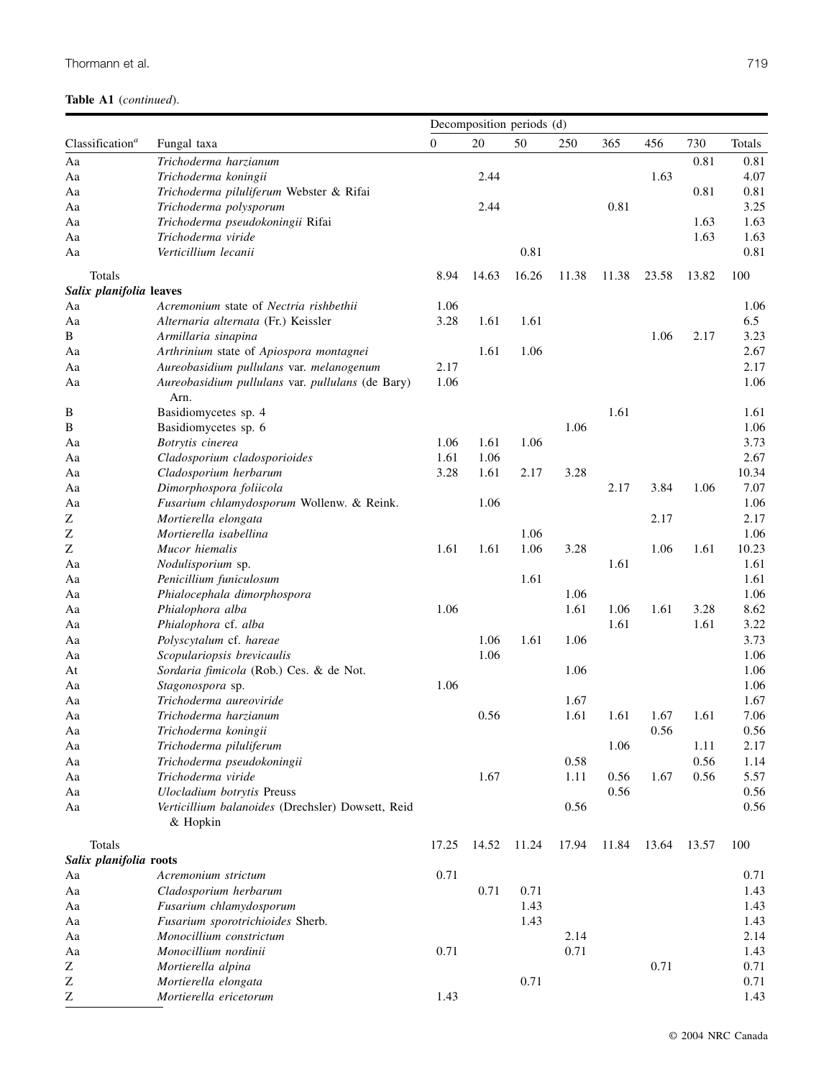|                             |                                                               | Decomposition periods (d) |       |       |       |       |       |       |        |
|-----------------------------|---------------------------------------------------------------|---------------------------|-------|-------|-------|-------|-------|-------|--------|
| Classification <sup>a</sup> | Fungal taxa                                                   | $\overline{0}$            | 20    | 50    | 250   | 365   | 456   | 730   | Totals |
| Aa                          | Trichoderma harzianum                                         |                           |       |       |       |       |       | 0.81  | 0.81   |
| Aa                          | Trichoderma koningii                                          |                           | 2.44  |       |       |       | 1.63  |       | 4.07   |
| Aa                          | Trichoderma piluliferum Webster & Rifai                       |                           |       |       |       |       |       | 0.81  | 0.81   |
| Aa                          | Trichoderma polysporum                                        |                           | 2.44  |       |       | 0.81  |       |       | 3.25   |
| Aa                          | Trichoderma pseudokoningii Rifai                              |                           |       |       |       |       |       | 1.63  | 1.63   |
| Aa                          | Trichoderma viride                                            |                           |       |       |       |       |       | 1.63  | 1.63   |
| Aa                          | Verticillium lecanii                                          |                           |       | 0.81  |       |       |       |       | 0.81   |
| Totals                      |                                                               | 8.94                      | 14.63 | 16.26 | 11.38 | 11.38 | 23.58 | 13.82 | 100    |
| Salix planifolia leaves     |                                                               |                           |       |       |       |       |       |       |        |
| Aa                          | Acremonium state of Nectria rishbethii                        | 1.06                      |       |       |       |       |       |       | 1.06   |
| Aa                          | Alternaria alternata (Fr.) Keissler                           | 3.28                      | 1.61  | 1.61  |       |       |       |       | 6.5    |
| B                           | Armillaria sinapina                                           |                           |       |       |       |       | 1.06  | 2.17  | 3.23   |
| Aa                          | Arthrinium state of Apiospora montagnei                       |                           | 1.61  | 1.06  |       |       |       |       | 2.67   |
| Aa                          | Aureobasidium pullulans var. melanogenum                      | 2.17                      |       |       |       |       |       |       | 2.17   |
| Aa                          | Aureobasidium pullulans var. pullulans (de Bary)              | 1.06                      |       |       |       |       |       |       | 1.06   |
|                             | Arn.                                                          |                           |       |       |       |       |       |       |        |
| B                           | Basidiomycetes sp. 4                                          |                           |       |       |       | 1.61  |       |       | 1.61   |
| $\, {\bf B}$                | Basidiomycetes sp. 6                                          |                           |       |       | 1.06  |       |       |       | 1.06   |
| Aa                          | Botrytis cinerea                                              | 1.06                      | 1.61  | 1.06  |       |       |       |       | 3.73   |
| Aa                          | Cladosporium cladosporioides                                  | 1.61                      | 1.06  |       |       |       |       |       | 2.67   |
| Aa                          | Cladosporium herbarum                                         | 3.28                      | 1.61  | 2.17  | 3.28  |       |       |       | 10.34  |
| Aa                          | Dimorphospora foliicola                                       |                           |       |       |       | 2.17  | 3.84  | 1.06  | 7.07   |
| Aa                          | Fusarium chlamydosporum Wollenw. & Reink.                     |                           | 1.06  |       |       |       |       |       | 1.06   |
| Ζ                           | Mortierella elongata                                          |                           |       |       |       |       | 2.17  |       | 2.17   |
| Z                           | Mortierella isabellina                                        |                           |       | 1.06  |       |       |       |       | 1.06   |
| Z                           | Mucor hiemalis                                                | 1.61                      | 1.61  | 1.06  | 3.28  |       | 1.06  | 1.61  | 10.23  |
| Aa                          | Nodulisporium sp.                                             |                           |       |       |       | 1.61  |       |       | 1.61   |
| Aa                          | Penicillium funiculosum                                       |                           |       | 1.61  |       |       |       |       | 1.61   |
| Aa                          | Phialocephala dimorphospora                                   |                           |       |       | 1.06  |       |       |       | 1.06   |
| Aa                          | Phialophora alba                                              | 1.06                      |       |       | 1.61  | 1.06  | 1.61  | 3.28  | 8.62   |
| Aa                          | Phialophora cf. alba                                          |                           |       |       |       | 1.61  |       | 1.61  | 3.22   |
| Aa                          | Polyscytalum cf. hareae                                       |                           | 1.06  | 1.61  | 1.06  |       |       |       | 3.73   |
| Aa                          | Scopulariopsis brevicaulis                                    |                           | 1.06  |       |       |       |       |       | 1.06   |
| At                          | Sordaria fimicola (Rob.) Ces. & de Not.                       |                           |       |       | 1.06  |       |       |       | 1.06   |
| Aa                          | Stagonospora sp.                                              | 1.06                      |       |       |       |       |       |       | 1.06   |
| Aa                          | Trichoderma aureoviride                                       |                           |       |       | 1.67  |       |       |       | 1.67   |
| Aa                          | Trichoderma harzianum                                         |                           | 0.56  |       | 1.61  | 1.61  | 1.67  | 1.61  | 7.06   |
| Aa                          | Trichoderma koningii                                          |                           |       |       |       |       | 0.56  |       | 0.56   |
| Aa                          | Trichoderma piluliferum                                       |                           |       |       |       | 1.06  |       | 1.11  | 2.17   |
| Aa                          | Trichoderma pseudokoningii                                    |                           |       |       | 0.58  |       |       | 0.56  | 1.14   |
| Aa                          | Trichoderma viride                                            |                           | 1.67  |       | 1.11  | 0.56  | 1.67  | 0.56  | 5.57   |
| Aa                          | <b>Ulocladium</b> botrytis Preuss                             |                           |       |       |       | 0.56  |       |       | 0.56   |
| Aa                          | Verticillium balanoides (Drechsler) Dowsett, Reid<br>& Hopkin |                           |       |       | 0.56  |       |       |       | 0.56   |
| Totals                      |                                                               | 17.25                     | 14.52 | 11.24 | 17.94 | 11.84 | 13.64 | 13.57 | 100    |
| Salix planifolia roots      |                                                               |                           |       |       |       |       |       |       |        |
| Aa                          | Acremonium strictum                                           | 0.71                      |       |       |       |       |       |       | 0.71   |
| Aa                          | Cladosporium herbarum                                         |                           | 0.71  | 0.71  |       |       |       |       | 1.43   |
| Aa                          | Fusarium chlamydosporum                                       |                           |       | 1.43  |       |       |       |       | 1.43   |
| Aa                          | Fusarium sporotrichioides Sherb.                              |                           |       | 1.43  |       |       |       |       | 1.43   |
| Aa                          | Monocillium constrictum                                       |                           |       |       | 2.14  |       |       |       | 2.14   |
| Aa                          | Monocillium nordinii                                          | 0.71                      |       |       | 0.71  |       |       |       | 1.43   |
| Ζ                           | Mortierella alpina                                            |                           |       |       |       |       | 0.71  |       | 0.71   |
| Ζ                           | Mortierella elongata                                          |                           |       | 0.71  |       |       |       |       | 0.71   |
| Z                           | Mortierella ericetorum                                        | 1.43                      |       |       |       |       |       |       | 1.43   |
|                             |                                                               |                           |       |       |       |       |       |       |        |